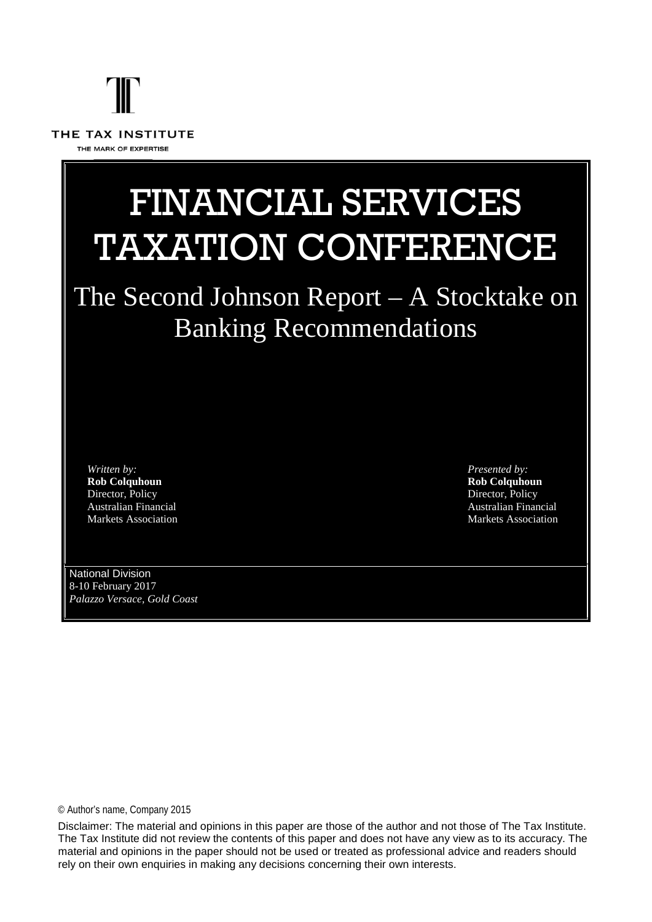# THE TAX INSTITUTE THE MARK OF EXPERTISE

# FINANCIAL SERVICES TAXATION CONFERENCE

## The Second Johnson Report – A Stocktake on Banking Recommendations

*Written by:* **Rob Colquhoun** Director, Policy Australian Financial Markets Association *Presented by:* **Rob Colquhoun** Director, Policy Australian Financial Markets Association

National Division 8-10 February 2017 *Palazzo Versace, Gold Coast*

© Author's name, Company 2015

Disclaimer: The material and opinions in this paper are those of the author and not those of The Tax Institute. The Tax Institute did not review the contents of this paper and does not have any view as to its accuracy. The material and opinions in the paper should not be used or treated as professional advice and readers should rely on their own enquiries in making any decisions concerning their own interests.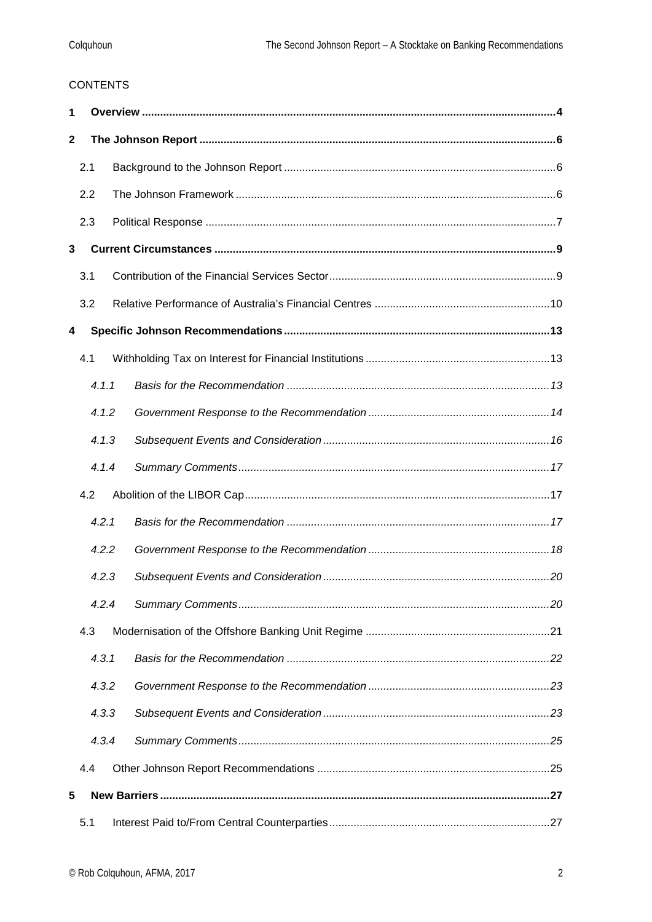#### **CONTENTS**

| 1            |       |  |  |  |  |  |
|--------------|-------|--|--|--|--|--|
| $\mathbf{2}$ |       |  |  |  |  |  |
|              | 2.1   |  |  |  |  |  |
|              | 2.2   |  |  |  |  |  |
|              | 2.3   |  |  |  |  |  |
| 3            |       |  |  |  |  |  |
|              | 3.1   |  |  |  |  |  |
|              | 3.2   |  |  |  |  |  |
| 4            |       |  |  |  |  |  |
|              | 4.1   |  |  |  |  |  |
|              | 4.1.1 |  |  |  |  |  |
|              | 4.1.2 |  |  |  |  |  |
|              | 4.1.3 |  |  |  |  |  |
|              | 4.1.4 |  |  |  |  |  |
|              | 4.2   |  |  |  |  |  |
|              | 4.2.1 |  |  |  |  |  |
|              | 4.2.2 |  |  |  |  |  |
|              | 4.2.3 |  |  |  |  |  |
|              | 4.2.4 |  |  |  |  |  |
|              | 4.3   |  |  |  |  |  |
|              | 4.3.1 |  |  |  |  |  |
|              | 4.3.2 |  |  |  |  |  |
|              | 4.3.3 |  |  |  |  |  |
|              | 4.3.4 |  |  |  |  |  |
|              | 4.4   |  |  |  |  |  |
| 5            |       |  |  |  |  |  |
|              | 5.1   |  |  |  |  |  |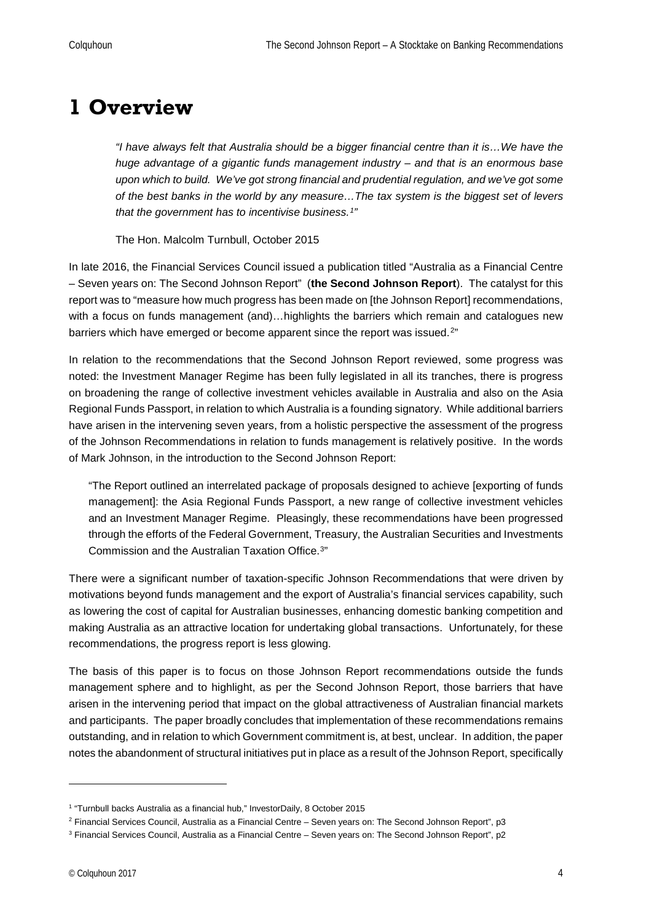## <span id="page-3-0"></span>**1 Overview**

*"I have always felt that Australia should be a bigger financial centre than it is…We have the huge advantage of a gigantic funds management industry – and that is an enormous base upon which to build. We've got strong financial and prudential regulation, and we've got some of the best banks in the world by any measure…The tax system is the biggest set of levers that the government has to incentivise business.[1](#page-3-1)"*

The Hon. Malcolm Turnbull, October 2015

In late 2016, the Financial Services Council issued a publication titled "Australia as a Financial Centre – Seven years on: The Second Johnson Report" (**the Second Johnson Report**). The catalyst for this report was to "measure how much progress has been made on [the Johnson Report] recommendations, with a focus on funds management (and)...highlights the barriers which remain and catalogues new barriers which have emerged or become apparent since the report was issued.<sup>[2](#page-3-2)"</sup>

In relation to the recommendations that the Second Johnson Report reviewed, some progress was noted: the Investment Manager Regime has been fully legislated in all its tranches, there is progress on broadening the range of collective investment vehicles available in Australia and also on the Asia Regional Funds Passport, in relation to which Australia is a founding signatory. While additional barriers have arisen in the intervening seven years, from a holistic perspective the assessment of the progress of the Johnson Recommendations in relation to funds management is relatively positive. In the words of Mark Johnson, in the introduction to the Second Johnson Report:

"The Report outlined an interrelated package of proposals designed to achieve [exporting of funds management]: the Asia Regional Funds Passport, a new range of collective investment vehicles and an Investment Manager Regime. Pleasingly, these recommendations have been progressed through the efforts of the Federal Government, Treasury, the Australian Securities and Investments Commission and the Australian Taxation Office.[3](#page-3-3)"

There were a significant number of taxation-specific Johnson Recommendations that were driven by motivations beyond funds management and the export of Australia's financial services capability, such as lowering the cost of capital for Australian businesses, enhancing domestic banking competition and making Australia as an attractive location for undertaking global transactions. Unfortunately, for these recommendations, the progress report is less glowing.

The basis of this paper is to focus on those Johnson Report recommendations outside the funds management sphere and to highlight, as per the Second Johnson Report, those barriers that have arisen in the intervening period that impact on the global attractiveness of Australian financial markets and participants. The paper broadly concludes that implementation of these recommendations remains outstanding, and in relation to which Government commitment is, at best, unclear. In addition, the paper notes the abandonment of structural initiatives put in place as a result of the Johnson Report, specifically

<span id="page-3-1"></span><sup>1</sup> "Turnbull backs Australia as a financial hub," InvestorDaily, 8 October 2015

<span id="page-3-2"></span><sup>2</sup> Financial Services Council, Australia as a Financial Centre – Seven years on: The Second Johnson Report", p3

<span id="page-3-3"></span><sup>3</sup> Financial Services Council, Australia as a Financial Centre – Seven years on: The Second Johnson Report", p2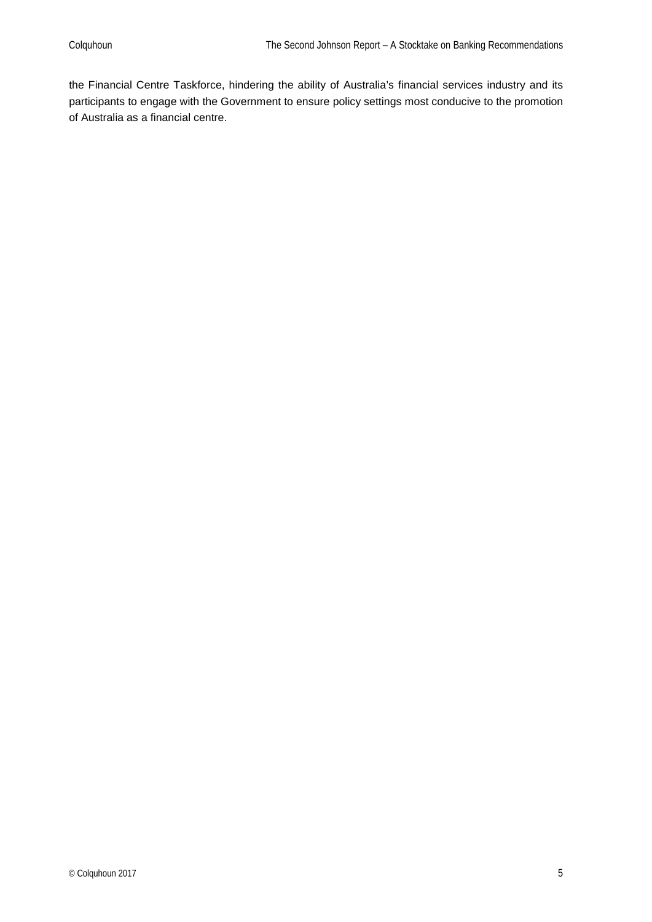the Financial Centre Taskforce, hindering the ability of Australia's financial services industry and its participants to engage with the Government to ensure policy settings most conducive to the promotion of Australia as a financial centre.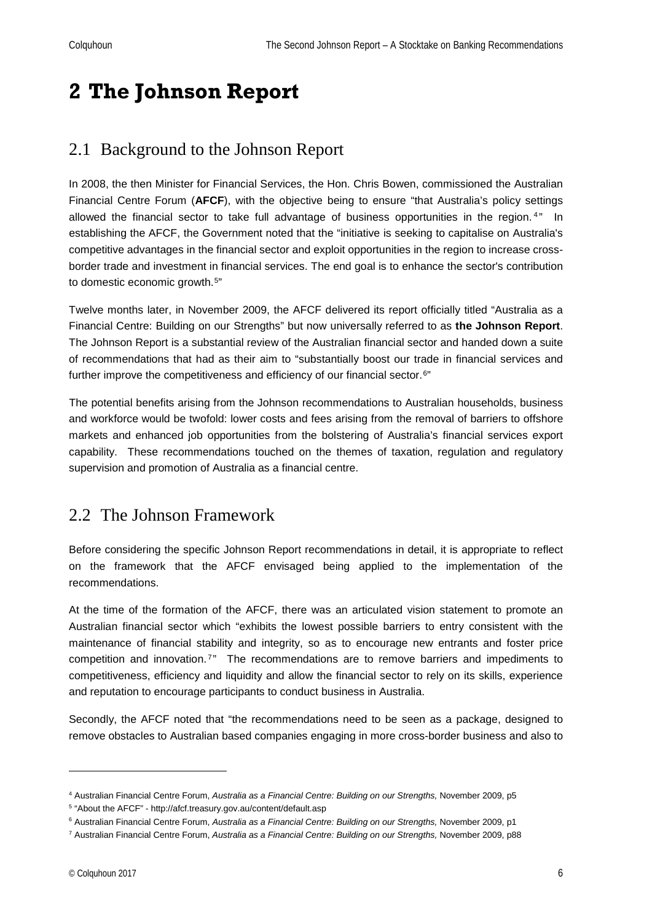## <span id="page-5-0"></span>**2 The Johnson Report**

## <span id="page-5-1"></span>2.1 Background to the Johnson Report

In 2008, the then Minister for Financial Services, the Hon. Chris Bowen, commissioned the Australian Financial Centre Forum (**AFCF**), with the objective being to ensure "that Australia's policy settings allowed the financial sector to take full advantage of business opportunities in the region.<sup>[4](#page-5-3)"</sup> In establishing the AFCF, the Government noted that the "initiative is seeking to capitalise on Australia's competitive advantages in the financial sector and exploit opportunities in the region to increase crossborder trade and investment in financial services. The end goal is to enhance the sector's contribution to domestic economic growth.[5](#page-5-4)"

Twelve months later, in November 2009, the AFCF delivered its report officially titled "Australia as a Financial Centre: Building on our Strengths" but now universally referred to as **the Johnson Report**. The Johnson Report is a substantial review of the Australian financial sector and handed down a suite of recommendations that had as their aim to "substantially boost our trade in financial services and further improve the competitiveness and efficiency of our financial sector.<sup>[6](#page-5-5)"</sup>

The potential benefits arising from the Johnson recommendations to Australian households, business and workforce would be twofold: lower costs and fees arising from the removal of barriers to offshore markets and enhanced job opportunities from the bolstering of Australia's financial services export capability. These recommendations touched on the themes of taxation, regulation and regulatory supervision and promotion of Australia as a financial centre.

### <span id="page-5-2"></span>2.2 The Johnson Framework

Before considering the specific Johnson Report recommendations in detail, it is appropriate to reflect on the framework that the AFCF envisaged being applied to the implementation of the recommendations.

At the time of the formation of the AFCF, there was an articulated vision statement to promote an Australian financial sector which "exhibits the lowest possible barriers to entry consistent with the maintenance of financial stability and integrity, so as to encourage new entrants and foster price competition and innovation.<sup>[7](#page-5-6)</sup>" The recommendations are to remove barriers and impediments to competitiveness, efficiency and liquidity and allow the financial sector to rely on its skills, experience and reputation to encourage participants to conduct business in Australia.

Secondly, the AFCF noted that "the recommendations need to be seen as a package, designed to remove obstacles to Australian based companies engaging in more cross-border business and also to

<span id="page-5-3"></span><sup>4</sup> Australian Financial Centre Forum, *Australia as a Financial Centre: Building on our Strengths,* November 2009, p5

<span id="page-5-4"></span><sup>5</sup> "About the AFCF" - http://afcf.treasury.gov.au/content/default.asp

<span id="page-5-5"></span><sup>&</sup>lt;sup>6</sup> Australian Financial Centre Forum, Australia as a Financial Centre: Building on our Strengths, November 2009, p1

<span id="page-5-6"></span><sup>7</sup> Australian Financial Centre Forum, *Australia as a Financial Centre: Building on our Strengths,* November 2009, p88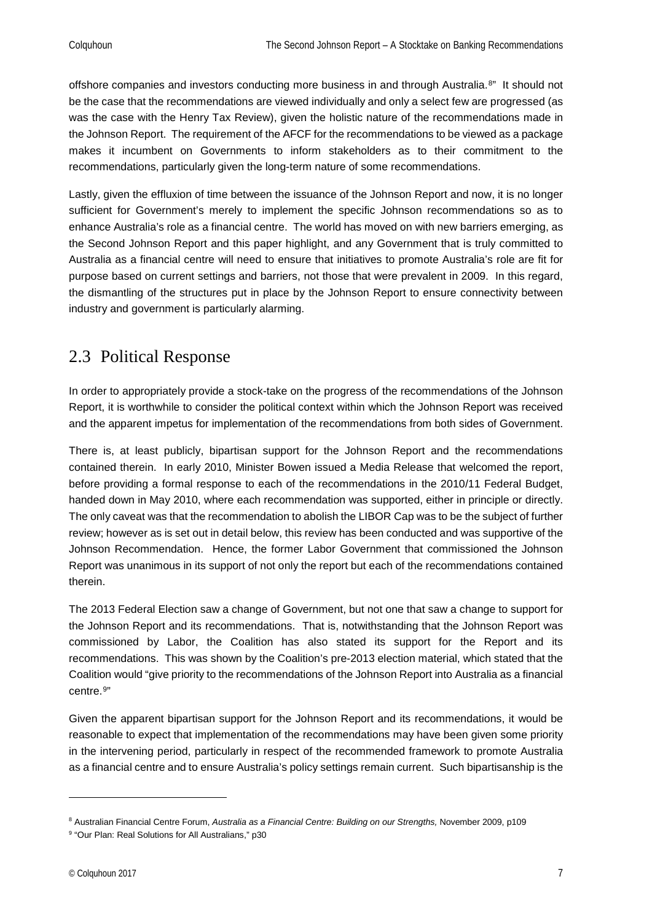offshore companies and investors conducting more business in and through Australia.<sup>[8"](#page-6-1)</sup> It should not be the case that the recommendations are viewed individually and only a select few are progressed (as was the case with the Henry Tax Review), given the holistic nature of the recommendations made in the Johnson Report. The requirement of the AFCF for the recommendations to be viewed as a package makes it incumbent on Governments to inform stakeholders as to their commitment to the recommendations, particularly given the long-term nature of some recommendations.

Lastly, given the effluxion of time between the issuance of the Johnson Report and now, it is no longer sufficient for Government's merely to implement the specific Johnson recommendations so as to enhance Australia's role as a financial centre. The world has moved on with new barriers emerging, as the Second Johnson Report and this paper highlight, and any Government that is truly committed to Australia as a financial centre will need to ensure that initiatives to promote Australia's role are fit for purpose based on current settings and barriers, not those that were prevalent in 2009. In this regard, the dismantling of the structures put in place by the Johnson Report to ensure connectivity between industry and government is particularly alarming.

## <span id="page-6-0"></span>2.3 Political Response

In order to appropriately provide a stock-take on the progress of the recommendations of the Johnson Report, it is worthwhile to consider the political context within which the Johnson Report was received and the apparent impetus for implementation of the recommendations from both sides of Government.

There is, at least publicly, bipartisan support for the Johnson Report and the recommendations contained therein. In early 2010, Minister Bowen issued a Media Release that welcomed the report, before providing a formal response to each of the recommendations in the 2010/11 Federal Budget, handed down in May 2010, where each recommendation was supported, either in principle or directly. The only caveat was that the recommendation to abolish the LIBOR Cap was to be the subject of further review; however as is set out in detail below, this review has been conducted and was supportive of the Johnson Recommendation. Hence, the former Labor Government that commissioned the Johnson Report was unanimous in its support of not only the report but each of the recommendations contained therein.

The 2013 Federal Election saw a change of Government, but not one that saw a change to support for the Johnson Report and its recommendations. That is, notwithstanding that the Johnson Report was commissioned by Labor, the Coalition has also stated its support for the Report and its recommendations. This was shown by the Coalition's pre-2013 election material, which stated that the Coalition would "give priority to the recommendations of the Johnson Report into Australia as a financial centre.[9"](#page-6-2)

Given the apparent bipartisan support for the Johnson Report and its recommendations, it would be reasonable to expect that implementation of the recommendations may have been given some priority in the intervening period, particularly in respect of the recommended framework to promote Australia as a financial centre and to ensure Australia's policy settings remain current. Such bipartisanship is the

<span id="page-6-1"></span><sup>&</sup>lt;sup>8</sup> Australian Financial Centre Forum, Australia as a Financial Centre: Building on our Strengths, November 2009, p109

<span id="page-6-2"></span><sup>9</sup> "Our Plan: Real Solutions for All Australians," p30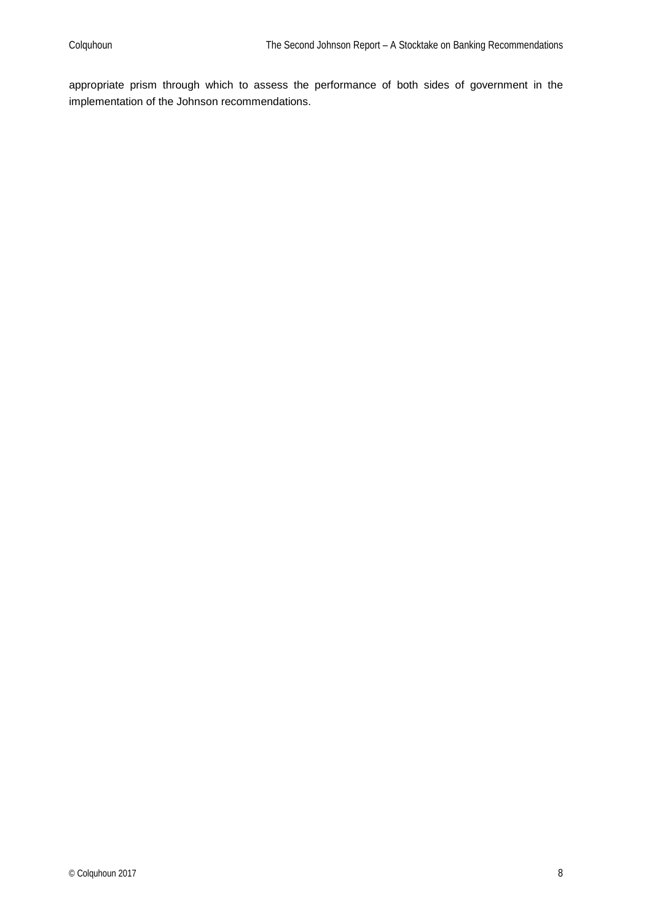appropriate prism through which to assess the performance of both sides of government in the implementation of the Johnson recommendations.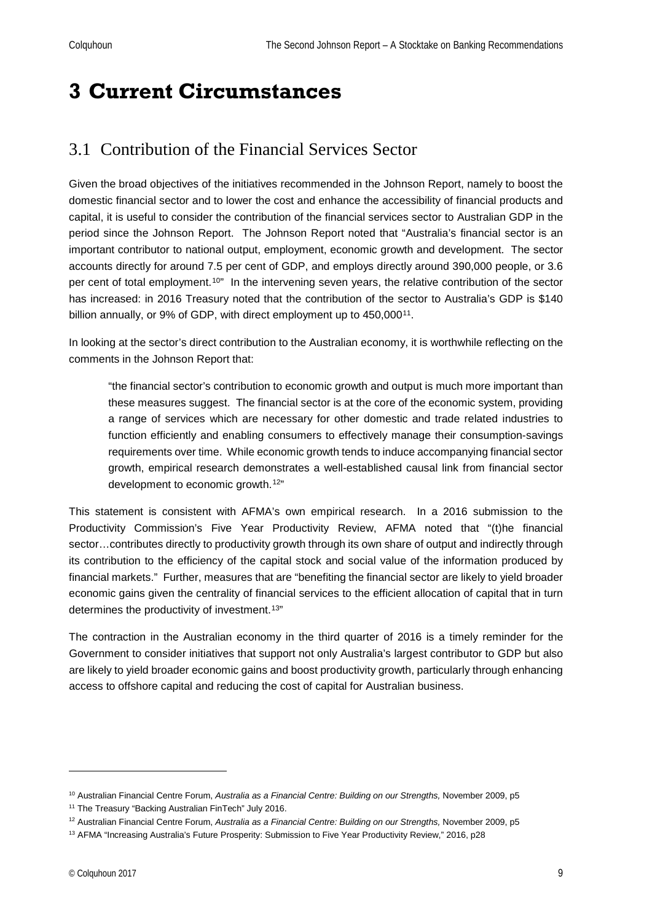## <span id="page-8-0"></span>**3 Current Circumstances**

## <span id="page-8-1"></span>3.1 Contribution of the Financial Services Sector

Given the broad objectives of the initiatives recommended in the Johnson Report, namely to boost the domestic financial sector and to lower the cost and enhance the accessibility of financial products and capital, it is useful to consider the contribution of the financial services sector to Australian GDP in the period since the Johnson Report. The Johnson Report noted that "Australia's financial sector is an important contributor to national output, employment, economic growth and development. The sector accounts directly for around 7.5 per cent of GDP, and employs directly around 390,000 people, or 3.6 per cent of total employment.[10](#page-8-2)" In the intervening seven years, the relative contribution of the sector has increased: in 2016 Treasury noted that the contribution of the sector to Australia's GDP is \$140 billion annually, or 9% of GDP, with direct employment up to 450,000<sup>[11](#page-8-3)</sup>.

In looking at the sector's direct contribution to the Australian economy, it is worthwhile reflecting on the comments in the Johnson Report that:

"the financial sector's contribution to economic growth and output is much more important than these measures suggest. The financial sector is at the core of the economic system, providing a range of services which are necessary for other domestic and trade related industries to function efficiently and enabling consumers to effectively manage their consumption-savings requirements over time. While economic growth tends to induce accompanying financial sector growth, empirical research demonstrates a well-established causal link from financial sector development to economic growth.[12](#page-8-4)"

This statement is consistent with AFMA's own empirical research. In a 2016 submission to the Productivity Commission's Five Year Productivity Review, AFMA noted that "(t)he financial sector...contributes directly to productivity growth through its own share of output and indirectly through its contribution to the efficiency of the capital stock and social value of the information produced by financial markets." Further, measures that are "benefiting the financial sector are likely to yield broader economic gains given the centrality of financial services to the efficient allocation of capital that in turn determines the productivity of investment.<sup>[13](#page-8-5)"</sup>

The contraction in the Australian economy in the third quarter of 2016 is a timely reminder for the Government to consider initiatives that support not only Australia's largest contributor to GDP but also are likely to yield broader economic gains and boost productivity growth, particularly through enhancing access to offshore capital and reducing the cost of capital for Australian business.

<span id="page-8-2"></span><sup>&</sup>lt;sup>10</sup> Australian Financial Centre Forum, Australia as a Financial Centre: Building on our Strengths, November 2009, p5 <sup>11</sup> The Treasury "Backing Australian FinTech" July 2016.

<span id="page-8-4"></span><span id="page-8-3"></span><sup>&</sup>lt;sup>12</sup> Australian Financial Centre Forum, Australia as a Financial Centre: Building on our Strengths, November 2009, p5

<span id="page-8-5"></span><sup>&</sup>lt;sup>13</sup> AFMA "Increasing Australia's Future Prosperity: Submission to Five Year Productivity Review," 2016, p28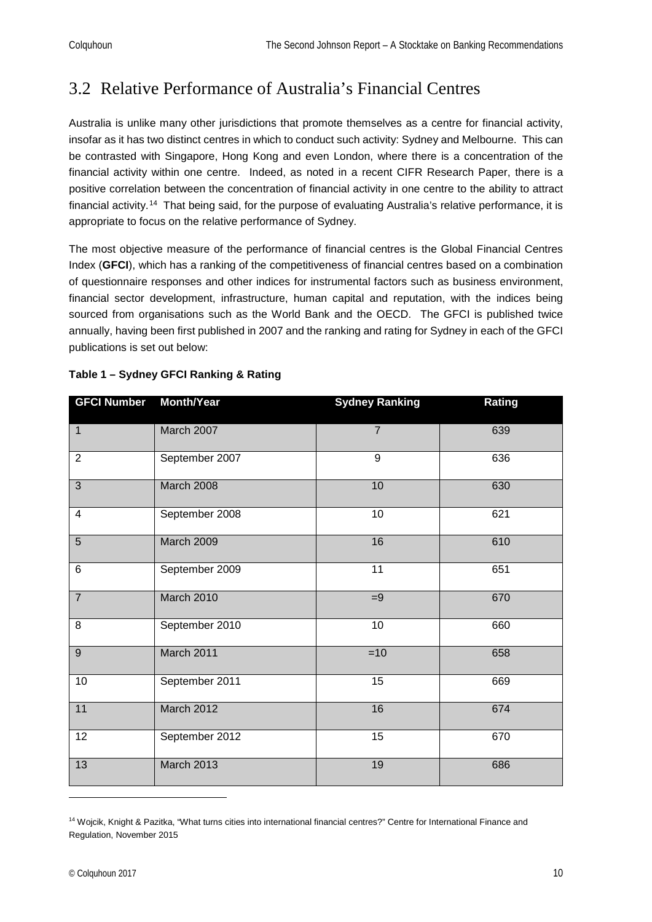## <span id="page-9-0"></span>3.2 Relative Performance of Australia's Financial Centres

Australia is unlike many other jurisdictions that promote themselves as a centre for financial activity, insofar as it has two distinct centres in which to conduct such activity: Sydney and Melbourne. This can be contrasted with Singapore, Hong Kong and even London, where there is a concentration of the financial activity within one centre. Indeed, as noted in a recent CIFR Research Paper, there is a positive correlation between the concentration of financial activity in one centre to the ability to attract financial activity.[14](#page-9-1) That being said, for the purpose of evaluating Australia's relative performance, it is appropriate to focus on the relative performance of Sydney.

The most objective measure of the performance of financial centres is the Global Financial Centres Index (**GFCI**), which has a ranking of the competitiveness of financial centres based on a combination of questionnaire responses and other indices for instrumental factors such as business environment, financial sector development, infrastructure, human capital and reputation, with the indices being sourced from organisations such as the World Bank and the OECD. The GFCI is published twice annually, having been first published in 2007 and the ranking and rating for Sydney in each of the GFCI publications is set out below:

| <b>GFCI Number</b> | <b>Month/Year</b> | <b>Sydney Ranking</b> | Rating |
|--------------------|-------------------|-----------------------|--------|
| $\mathbf{1}$       | March 2007        | $\overline{7}$        | 639    |
| $\overline{2}$     | September 2007    | 9                     | 636    |
| $\overline{3}$     | March 2008        | 10                    | 630    |
| 4                  | September 2008    | 10                    | 621    |
| $\overline{5}$     | March 2009        | 16                    | 610    |
| 6                  | September 2009    | 11                    | 651    |
| $\overline{7}$     | March 2010        | $=9$                  | 670    |
| $\overline{8}$     | September 2010    | 10                    | 660    |
| $\overline{9}$     | March 2011        | $=10$                 | 658    |
| $\overline{10}$    | September 2011    | $\overline{15}$       | 669    |
| 11                 | March 2012        | 16                    | 674    |
| $\overline{12}$    | September 2012    | $\overline{15}$       | 670    |
| 13                 | <b>March 2013</b> | 19                    | 686    |

#### **Table 1 – Sydney GFCI Ranking & Rating**

<span id="page-9-1"></span><sup>&</sup>lt;sup>14</sup> Wojcik, Knight & Pazitka, "What turns cities into international financial centres?" Centre for International Finance and Regulation, November 2015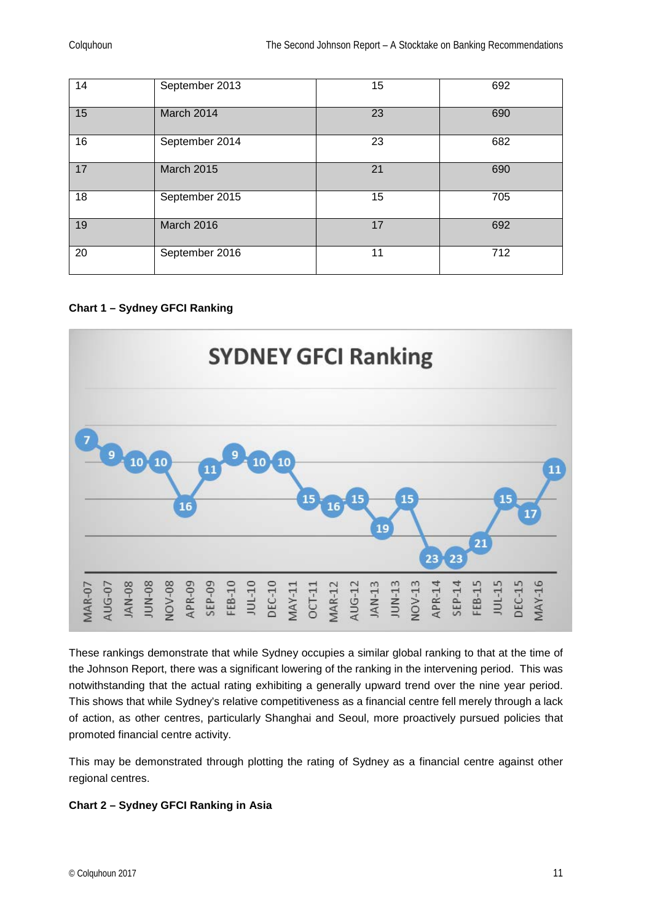| 14 | September 2013    | 15 | 692 |
|----|-------------------|----|-----|
| 15 | March 2014        | 23 | 690 |
| 16 | September 2014    | 23 | 682 |
| 17 | <b>March 2015</b> | 21 | 690 |
| 18 | September 2015    | 15 | 705 |
| 19 | March 2016        | 17 | 692 |
| 20 | September 2016    | 11 | 712 |

**Chart 1 – Sydney GFCI Ranking**



These rankings demonstrate that while Sydney occupies a similar global ranking to that at the time of the Johnson Report, there was a significant lowering of the ranking in the intervening period. This was notwithstanding that the actual rating exhibiting a generally upward trend over the nine year period. This shows that while Sydney's relative competitiveness as a financial centre fell merely through a lack of action, as other centres, particularly Shanghai and Seoul, more proactively pursued policies that promoted financial centre activity.

This may be demonstrated through plotting the rating of Sydney as a financial centre against other regional centres.

#### **Chart 2 – Sydney GFCI Ranking in Asia**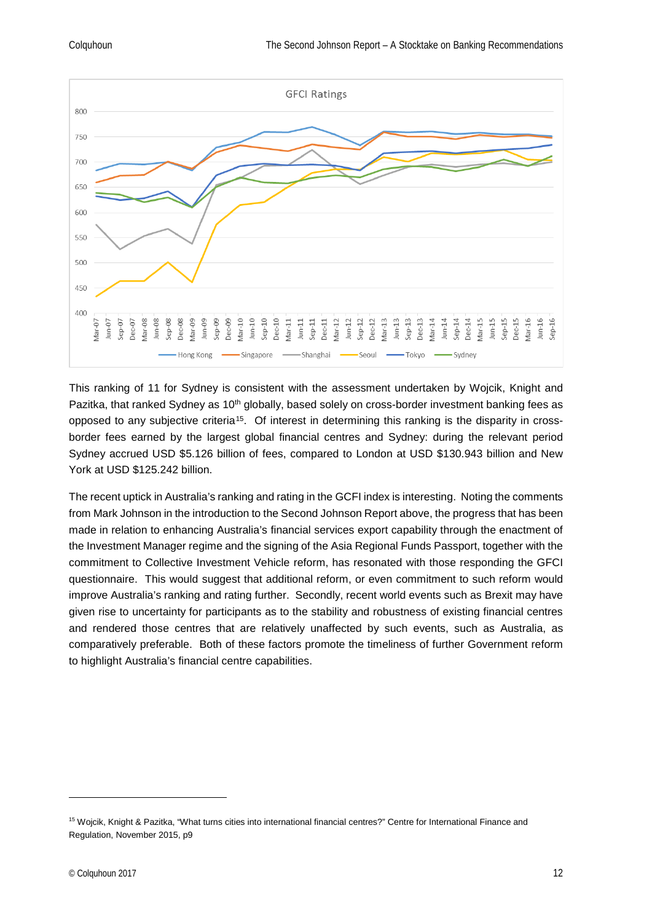

This ranking of 11 for Sydney is consistent with the assessment undertaken by Wojcik, Knight and Pazitka, that ranked Sydney as 10<sup>th</sup> globally, based solely on cross-border investment banking fees as opposed to any subjective criteria[15.](#page-11-0) Of interest in determining this ranking is the disparity in crossborder fees earned by the largest global financial centres and Sydney: during the relevant period Sydney accrued USD \$5.126 billion of fees, compared to London at USD \$130.943 billion and New York at USD \$125.242 billion.

The recent uptick in Australia's ranking and rating in the GCFI index is interesting. Noting the comments from Mark Johnson in the introduction to the Second Johnson Report above, the progress that has been made in relation to enhancing Australia's financial services export capability through the enactment of the Investment Manager regime and the signing of the Asia Regional Funds Passport, together with the commitment to Collective Investment Vehicle reform, has resonated with those responding the GFCI questionnaire. This would suggest that additional reform, or even commitment to such reform would improve Australia's ranking and rating further. Secondly, recent world events such as Brexit may have given rise to uncertainty for participants as to the stability and robustness of existing financial centres and rendered those centres that are relatively unaffected by such events, such as Australia, as comparatively preferable. Both of these factors promote the timeliness of further Government reform to highlight Australia's financial centre capabilities.

<span id="page-11-0"></span><sup>&</sup>lt;sup>15</sup> Wojcik, Knight & Pazitka, "What turns cities into international financial centres?" Centre for International Finance and Regulation, November 2015, p9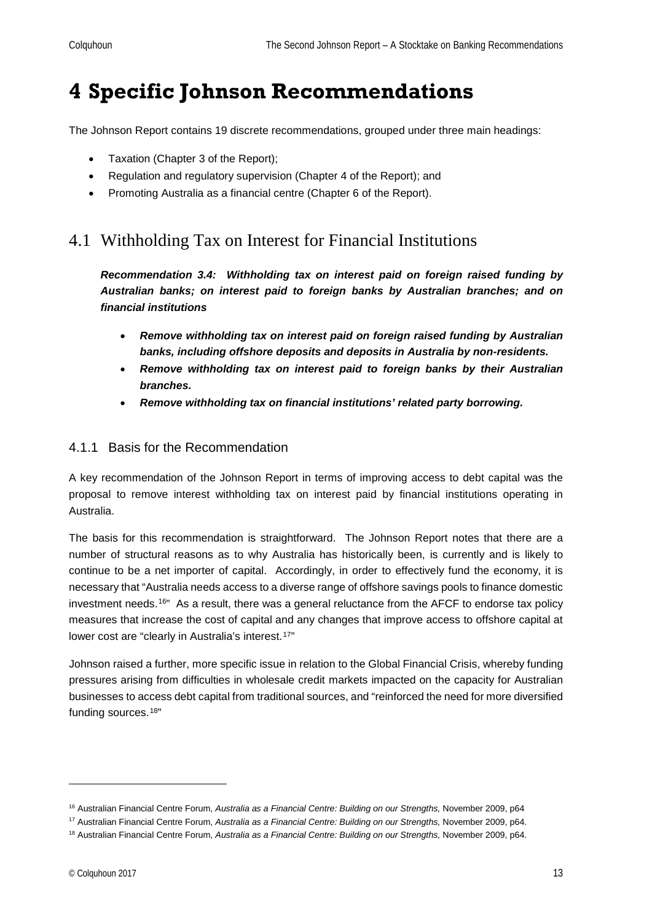## <span id="page-12-0"></span>**4 Specific Johnson Recommendations**

The Johnson Report contains 19 discrete recommendations, grouped under three main headings:

- Taxation (Chapter 3 of the Report);
- Regulation and regulatory supervision (Chapter 4 of the Report); and
- Promoting Australia as a financial centre (Chapter 6 of the Report).

## <span id="page-12-1"></span>4.1 Withholding Tax on Interest for Financial Institutions

*Recommendation 3.4: Withholding tax on interest paid on foreign raised funding by Australian banks; on interest paid to foreign banks by Australian branches; and on financial institutions*

- *Remove withholding tax on interest paid on foreign raised funding by Australian banks, including offshore deposits and deposits in Australia by non-residents.*
- *Remove withholding tax on interest paid to foreign banks by their Australian branches.*
- *Remove withholding tax on financial institutions' related party borrowing.*

#### <span id="page-12-2"></span>4.1.1 Basis for the Recommendation

A key recommendation of the Johnson Report in terms of improving access to debt capital was the proposal to remove interest withholding tax on interest paid by financial institutions operating in Australia.

The basis for this recommendation is straightforward. The Johnson Report notes that there are a number of structural reasons as to why Australia has historically been, is currently and is likely to continue to be a net importer of capital. Accordingly, in order to effectively fund the economy, it is necessary that "Australia needs access to a diverse range of offshore savings pools to finance domestic investment needs.<sup>[16"](#page-12-3)</sup> As a result, there was a general reluctance from the AFCF to endorse tax policy measures that increase the cost of capital and any changes that improve access to offshore capital at lower cost are "clearly in Australia's interest.<sup>[17"](#page-12-4)</sup>

Johnson raised a further, more specific issue in relation to the Global Financial Crisis, whereby funding pressures arising from difficulties in wholesale credit markets impacted on the capacity for Australian businesses to access debt capital from traditional sources, and "reinforced the need for more diversified funding sources.[18](#page-12-5)"

<span id="page-12-3"></span><sup>16</sup> Australian Financial Centre Forum, *Australia as a Financial Centre: Building on our Strengths,* November 2009, p64

<span id="page-12-4"></span><sup>17</sup> Australian Financial Centre Forum, *Australia as a Financial Centre: Building on our Strengths,* November 2009, p64.

<span id="page-12-5"></span><sup>18</sup> Australian Financial Centre Forum, *Australia as a Financial Centre: Building on our Strengths,* November 2009, p64.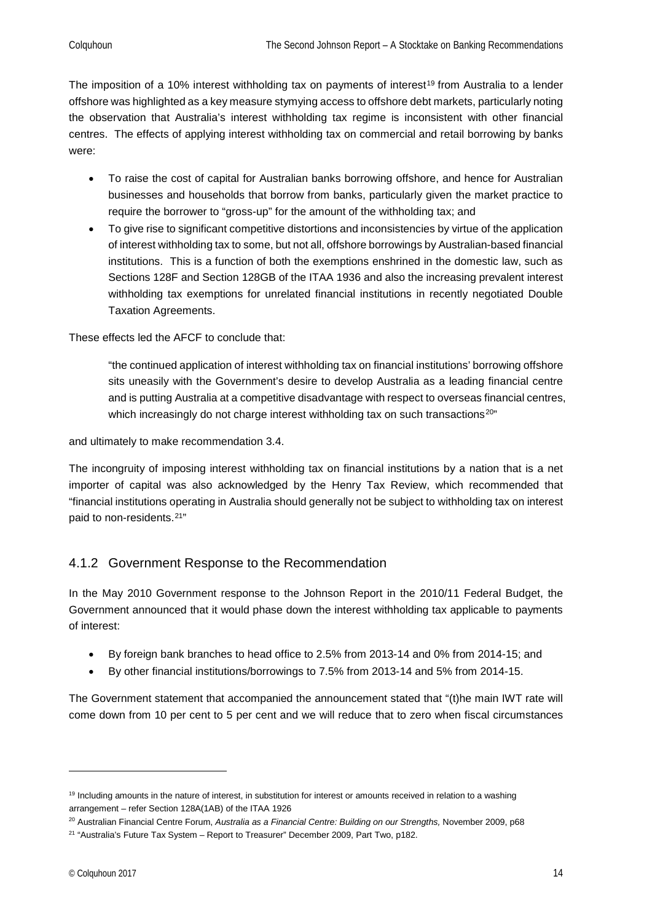The imposition of a 10% interest withholding tax on payments of interest<sup>[19](#page-13-1)</sup> from Australia to a lender offshore was highlighted as a key measure stymying access to offshore debt markets, particularly noting the observation that Australia's interest withholding tax regime is inconsistent with other financial centres. The effects of applying interest withholding tax on commercial and retail borrowing by banks were:

- To raise the cost of capital for Australian banks borrowing offshore, and hence for Australian businesses and households that borrow from banks, particularly given the market practice to require the borrower to "gross-up" for the amount of the withholding tax; and
- To give rise to significant competitive distortions and inconsistencies by virtue of the application of interest withholding tax to some, but not all, offshore borrowings by Australian-based financial institutions. This is a function of both the exemptions enshrined in the domestic law, such as Sections 128F and Section 128GB of the ITAA 1936 and also the increasing prevalent interest withholding tax exemptions for unrelated financial institutions in recently negotiated Double Taxation Agreements.

These effects led the AFCF to conclude that:

"the continued application of interest withholding tax on financial institutions' borrowing offshore sits uneasily with the Government's desire to develop Australia as a leading financial centre and is putting Australia at a competitive disadvantage with respect to overseas financial centres, which increasingly do not charge interest withholding tax on such transactions<sup>[20"](#page-13-2)</sup>

and ultimately to make recommendation 3.4.

The incongruity of imposing interest withholding tax on financial institutions by a nation that is a net importer of capital was also acknowledged by the Henry Tax Review, which recommended that "financial institutions operating in Australia should generally not be subject to withholding tax on interest paid to non-residents.[21"](#page-13-3)

#### <span id="page-13-0"></span>4.1.2 Government Response to the Recommendation

In the May 2010 Government response to the Johnson Report in the 2010/11 Federal Budget, the Government announced that it would phase down the interest withholding tax applicable to payments of interest:

- By foreign bank branches to head office to 2.5% from 2013-14 and 0% from 2014-15; and
- By other financial institutions/borrowings to 7.5% from 2013-14 and 5% from 2014-15.

The Government statement that accompanied the announcement stated that "(t)he main IWT rate will come down from 10 per cent to 5 per cent and we will reduce that to zero when fiscal circumstances

<span id="page-13-1"></span><sup>&</sup>lt;sup>19</sup> Including amounts in the nature of interest, in substitution for interest or amounts received in relation to a washing arrangement – refer Section 128A(1AB) of the ITAA 1926

<span id="page-13-2"></span><sup>&</sup>lt;sup>20</sup> Australian Financial Centre Forum, Australia as a Financial Centre: Building on our Strengths, November 2009, p68

<span id="page-13-3"></span><sup>&</sup>lt;sup>21</sup> "Australia's Future Tax System - Report to Treasurer" December 2009, Part Two, p182.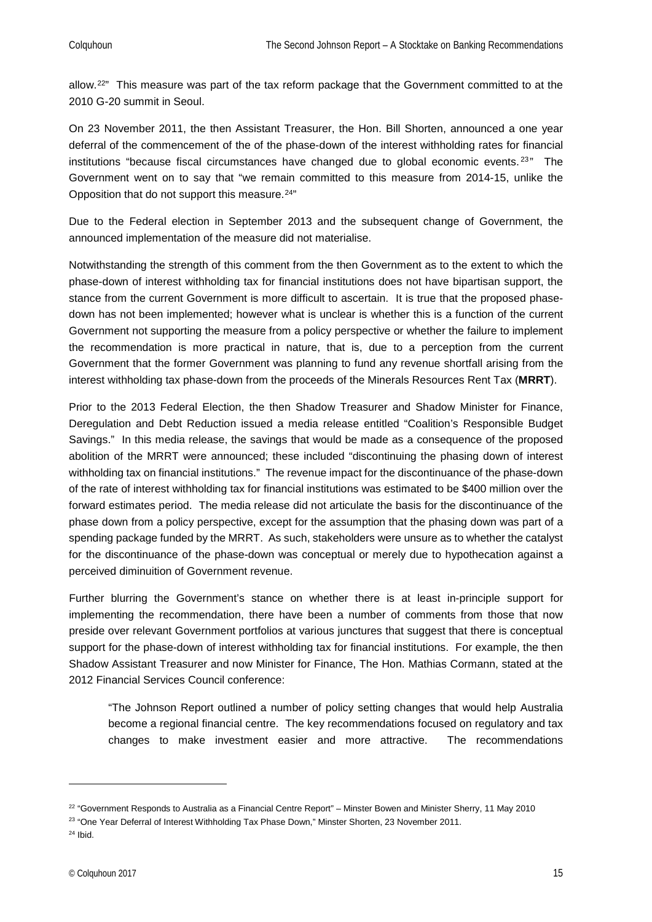allow.[22](#page-14-0)" This measure was part of the tax reform package that the Government committed to at the 2010 G-20 summit in Seoul.

On 23 November 2011, the then Assistant Treasurer, the Hon. Bill Shorten, announced a one year deferral of the commencement of the of the phase-down of the interest withholding rates for financial institutions "because fiscal circumstances have changed due to global economic events.<sup>[23](#page-14-1)"</sup> The Government went on to say that "we remain committed to this measure from 2014-15, unlike the Opposition that do not support this measure.<sup>[24](#page-14-2)"</sup>

Due to the Federal election in September 2013 and the subsequent change of Government, the announced implementation of the measure did not materialise.

Notwithstanding the strength of this comment from the then Government as to the extent to which the phase-down of interest withholding tax for financial institutions does not have bipartisan support, the stance from the current Government is more difficult to ascertain. It is true that the proposed phasedown has not been implemented; however what is unclear is whether this is a function of the current Government not supporting the measure from a policy perspective or whether the failure to implement the recommendation is more practical in nature, that is, due to a perception from the current Government that the former Government was planning to fund any revenue shortfall arising from the interest withholding tax phase-down from the proceeds of the Minerals Resources Rent Tax (**MRRT**).

Prior to the 2013 Federal Election, the then Shadow Treasurer and Shadow Minister for Finance, Deregulation and Debt Reduction issued a media release entitled "Coalition's Responsible Budget Savings." In this media release, the savings that would be made as a consequence of the proposed abolition of the MRRT were announced; these included "discontinuing the phasing down of interest withholding tax on financial institutions." The revenue impact for the discontinuance of the phase-down of the rate of interest withholding tax for financial institutions was estimated to be \$400 million over the forward estimates period. The media release did not articulate the basis for the discontinuance of the phase down from a policy perspective, except for the assumption that the phasing down was part of a spending package funded by the MRRT. As such, stakeholders were unsure as to whether the catalyst for the discontinuance of the phase-down was conceptual or merely due to hypothecation against a perceived diminuition of Government revenue.

Further blurring the Government's stance on whether there is at least in-principle support for implementing the recommendation, there have been a number of comments from those that now preside over relevant Government portfolios at various junctures that suggest that there is conceptual support for the phase-down of interest withholding tax for financial institutions. For example, the then Shadow Assistant Treasurer and now Minister for Finance, The Hon. Mathias Cormann, stated at the 2012 Financial Services Council conference:

"The Johnson Report outlined a number of policy setting changes that would help Australia become a regional financial centre. The key recommendations focused on regulatory and tax changes to make investment easier and more attractive. The recommendations

<span id="page-14-0"></span> $22$  "Government Responds to Australia as a Financial Centre Report" – Minster Bowen and Minister Sherry, 11 May 2010

<span id="page-14-2"></span><span id="page-14-1"></span><sup>&</sup>lt;sup>23</sup> "One Year Deferral of Interest Withholding Tax Phase Down," Minster Shorten, 23 November 2011.  $24$  Ibid.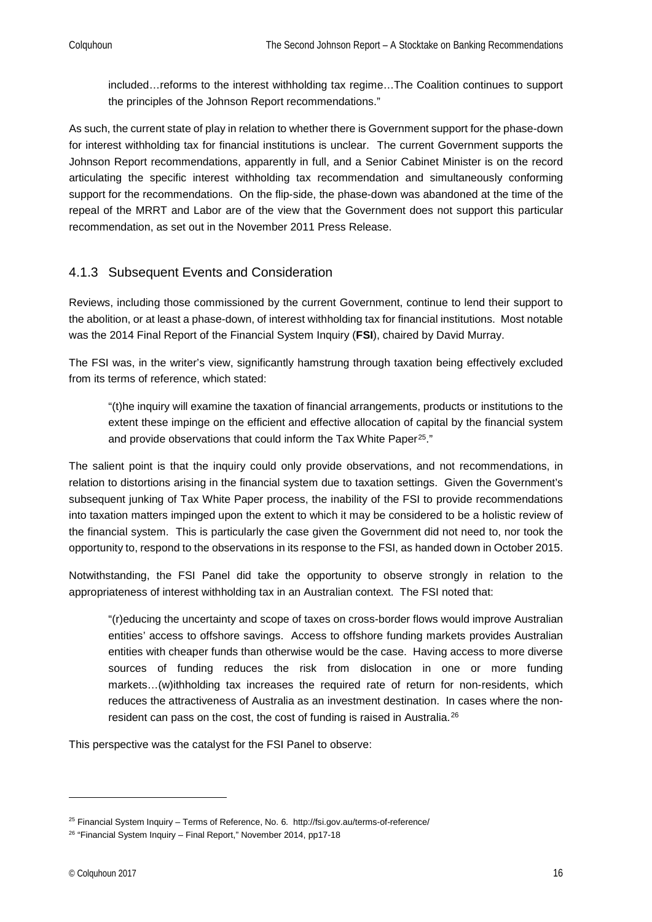included…reforms to the interest withholding tax regime…The Coalition continues to support the principles of the Johnson Report recommendations."

As such, the current state of play in relation to whether there is Government support for the phase-down for interest withholding tax for financial institutions is unclear. The current Government supports the Johnson Report recommendations, apparently in full, and a Senior Cabinet Minister is on the record articulating the specific interest withholding tax recommendation and simultaneously conforming support for the recommendations. On the flip-side, the phase-down was abandoned at the time of the repeal of the MRRT and Labor are of the view that the Government does not support this particular recommendation, as set out in the November 2011 Press Release.

#### <span id="page-15-0"></span>4.1.3 Subsequent Events and Consideration

Reviews, including those commissioned by the current Government, continue to lend their support to the abolition, or at least a phase-down, of interest withholding tax for financial institutions. Most notable was the 2014 Final Report of the Financial System Inquiry (**FSI**), chaired by David Murray.

The FSI was, in the writer's view, significantly hamstrung through taxation being effectively excluded from its terms of reference, which stated:

"(t)he inquiry will examine the taxation of financial arrangements, products or institutions to the extent these impinge on the efficient and effective allocation of capital by the financial system and provide observations that could inform the Tax White Paper<sup>[25](#page-15-1)</sup>."

The salient point is that the inquiry could only provide observations, and not recommendations, in relation to distortions arising in the financial system due to taxation settings. Given the Government's subsequent junking of Tax White Paper process, the inability of the FSI to provide recommendations into taxation matters impinged upon the extent to which it may be considered to be a holistic review of the financial system. This is particularly the case given the Government did not need to, nor took the opportunity to, respond to the observations in its response to the FSI, as handed down in October 2015.

Notwithstanding, the FSI Panel did take the opportunity to observe strongly in relation to the appropriateness of interest withholding tax in an Australian context. The FSI noted that:

"(r)educing the uncertainty and scope of taxes on cross-border flows would improve Australian entities' access to offshore savings. Access to offshore funding markets provides Australian entities with cheaper funds than otherwise would be the case. Having access to more diverse sources of funding reduces the risk from dislocation in one or more funding markets…(w)ithholding tax increases the required rate of return for non-residents, which reduces the attractiveness of Australia as an investment destination. In cases where the non-resident can pass on the cost, the cost of funding is raised in Australia.<sup>[26](#page-15-2)</sup>

This perspective was the catalyst for the FSI Panel to observe:

<span id="page-15-1"></span><sup>&</sup>lt;sup>25</sup> Financial System Inquiry – Terms of Reference, No. 6. http://fsi.gov.au/terms-of-reference/

<span id="page-15-2"></span> $26$  "Financial System Inquiry – Final Report," November 2014, pp17-18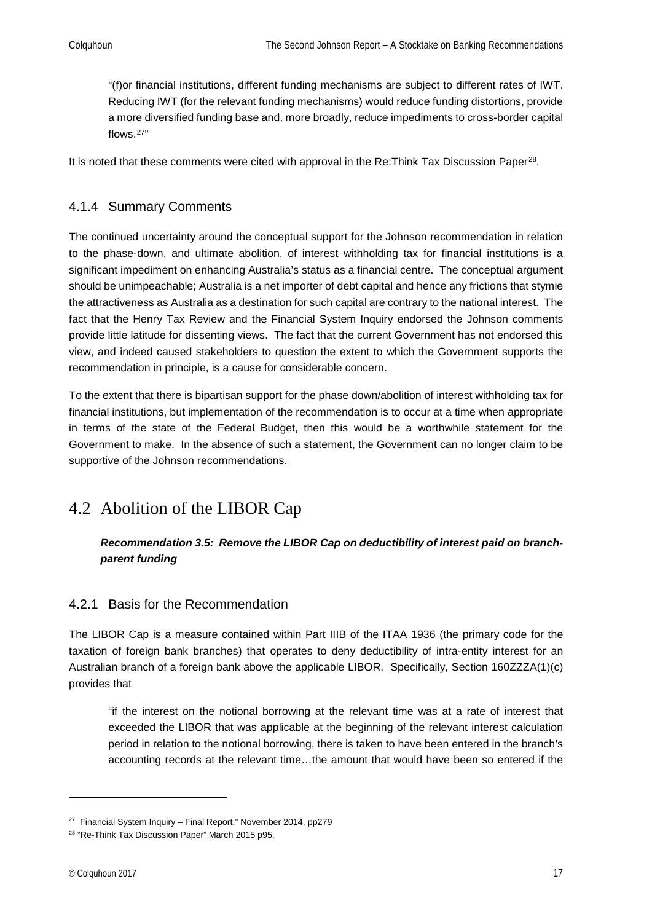"(f)or financial institutions, different funding mechanisms are subject to different rates of IWT. Reducing IWT (for the relevant funding mechanisms) would reduce funding distortions, provide a more diversified funding base and, more broadly, reduce impediments to cross-border capital flows.[27](#page-16-3)"

It is noted that these comments were cited with approval in the Re: Think Tax Discussion Paper<sup>28</sup>.

#### <span id="page-16-0"></span>4.1.4 Summary Comments

The continued uncertainty around the conceptual support for the Johnson recommendation in relation to the phase-down, and ultimate abolition, of interest withholding tax for financial institutions is a significant impediment on enhancing Australia's status as a financial centre. The conceptual argument should be unimpeachable; Australia is a net importer of debt capital and hence any frictions that stymie the attractiveness as Australia as a destination for such capital are contrary to the national interest. The fact that the Henry Tax Review and the Financial System Inquiry endorsed the Johnson comments provide little latitude for dissenting views. The fact that the current Government has not endorsed this view, and indeed caused stakeholders to question the extent to which the Government supports the recommendation in principle, is a cause for considerable concern.

To the extent that there is bipartisan support for the phase down/abolition of interest withholding tax for financial institutions, but implementation of the recommendation is to occur at a time when appropriate in terms of the state of the Federal Budget, then this would be a worthwhile statement for the Government to make. In the absence of such a statement, the Government can no longer claim to be supportive of the Johnson recommendations.

## <span id="page-16-1"></span>4.2 Abolition of the LIBOR Cap

#### *Recommendation 3.5: Remove the LIBOR Cap on deductibility of interest paid on branchparent funding*

#### <span id="page-16-2"></span>4.2.1 Basis for the Recommendation

The LIBOR Cap is a measure contained within Part IIIB of the ITAA 1936 (the primary code for the taxation of foreign bank branches) that operates to deny deductibility of intra-entity interest for an Australian branch of a foreign bank above the applicable LIBOR. Specifically, Section 160ZZZA(1)(c) provides that

"if the interest on the notional borrowing at the relevant time was at a rate of interest that exceeded the LIBOR that was applicable at the beginning of the relevant interest calculation period in relation to the notional borrowing, there is taken to have been entered in the branch's accounting records at the relevant time…the amount that would have been so entered if the

<span id="page-16-3"></span> $27$  Financial System Inquiry – Final Report," November 2014, pp279

<span id="page-16-4"></span><sup>&</sup>lt;sup>28</sup> "Re-Think Tax Discussion Paper" March 2015 p95.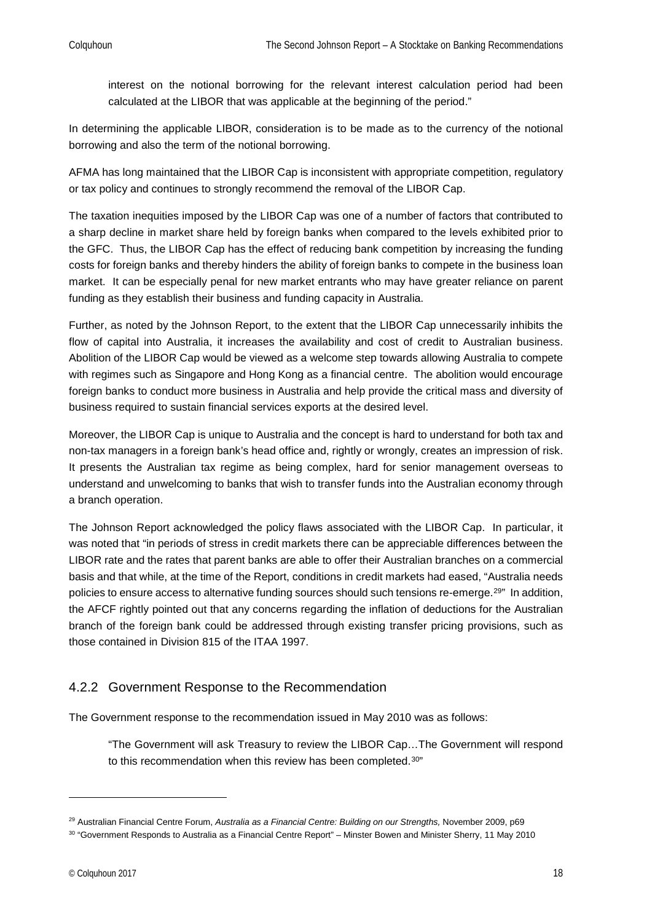interest on the notional borrowing for the relevant interest calculation period had been calculated at the LIBOR that was applicable at the beginning of the period."

In determining the applicable LIBOR, consideration is to be made as to the currency of the notional borrowing and also the term of the notional borrowing.

AFMA has long maintained that the LIBOR Cap is inconsistent with appropriate competition, regulatory or tax policy and continues to strongly recommend the removal of the LIBOR Cap.

The taxation inequities imposed by the LIBOR Cap was one of a number of factors that contributed to a sharp decline in market share held by foreign banks when compared to the levels exhibited prior to the GFC. Thus, the LIBOR Cap has the effect of reducing bank competition by increasing the funding costs for foreign banks and thereby hinders the ability of foreign banks to compete in the business loan market. It can be especially penal for new market entrants who may have greater reliance on parent funding as they establish their business and funding capacity in Australia.

Further, as noted by the Johnson Report, to the extent that the LIBOR Cap unnecessarily inhibits the flow of capital into Australia, it increases the availability and cost of credit to Australian business. Abolition of the LIBOR Cap would be viewed as a welcome step towards allowing Australia to compete with regimes such as Singapore and Hong Kong as a financial centre. The abolition would encourage foreign banks to conduct more business in Australia and help provide the critical mass and diversity of business required to sustain financial services exports at the desired level.

Moreover, the LIBOR Cap is unique to Australia and the concept is hard to understand for both tax and non-tax managers in a foreign bank's head office and, rightly or wrongly, creates an impression of risk. It presents the Australian tax regime as being complex, hard for senior management overseas to understand and unwelcoming to banks that wish to transfer funds into the Australian economy through a branch operation.

The Johnson Report acknowledged the policy flaws associated with the LIBOR Cap. In particular, it was noted that "in periods of stress in credit markets there can be appreciable differences between the LIBOR rate and the rates that parent banks are able to offer their Australian branches on a commercial basis and that while, at the time of the Report, conditions in credit markets had eased, "Australia needs policies to ensure access to alternative funding sources should such tensions re-emerge.<sup>[29](#page-17-1)"</sup> In addition, the AFCF rightly pointed out that any concerns regarding the inflation of deductions for the Australian branch of the foreign bank could be addressed through existing transfer pricing provisions, such as those contained in Division 815 of the ITAA 1997.

#### <span id="page-17-0"></span>4.2.2 Government Response to the Recommendation

The Government response to the recommendation issued in May 2010 was as follows:

"The Government will ask Treasury to review the LIBOR Cap…The Government will respond to this recommendation when this review has been completed.<sup>[30](#page-17-2)"</sup>

<span id="page-17-1"></span><sup>29</sup> Australian Financial Centre Forum, *Australia as a Financial Centre: Building on our Strengths,* November 2009, p69

<span id="page-17-2"></span><sup>30</sup> "Government Responds to Australia as a Financial Centre Report" – Minster Bowen and Minister Sherry, 11 May 2010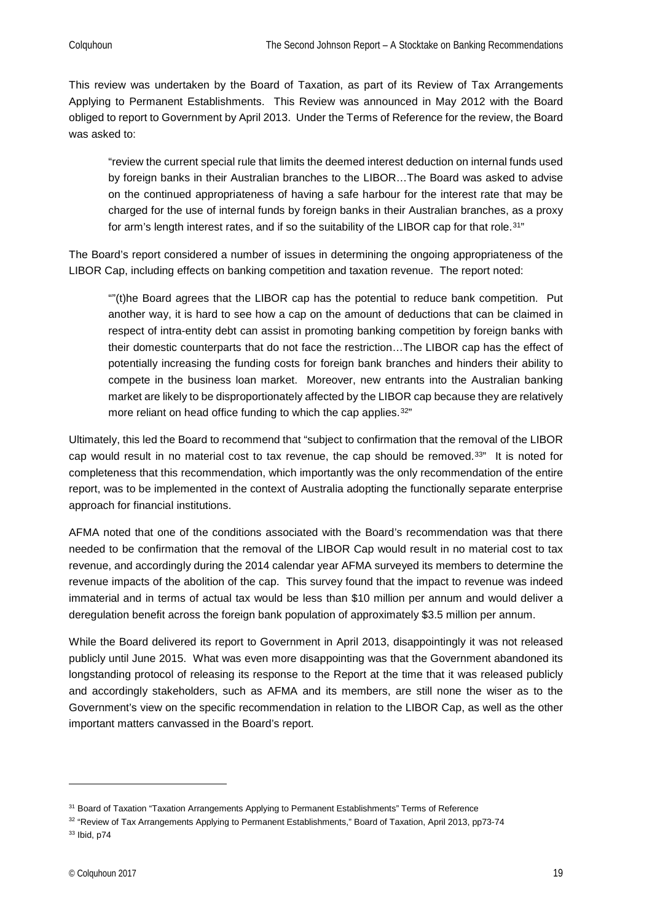This review was undertaken by the Board of Taxation, as part of its Review of Tax Arrangements Applying to Permanent Establishments. This Review was announced in May 2012 with the Board obliged to report to Government by April 2013. Under the Terms of Reference for the review, the Board was asked to:

"review the current special rule that limits the deemed interest deduction on internal funds used by foreign banks in their Australian branches to the LIBOR…The Board was asked to advise on the continued appropriateness of having a safe harbour for the interest rate that may be charged for the use of internal funds by foreign banks in their Australian branches, as a proxy for arm's length interest rates, and if so the suitability of the LIBOR cap for that role.<sup>[31"](#page-18-0)</sup>

The Board's report considered a number of issues in determining the ongoing appropriateness of the LIBOR Cap, including effects on banking competition and taxation revenue. The report noted:

""(t)he Board agrees that the LIBOR cap has the potential to reduce bank competition. Put another way, it is hard to see how a cap on the amount of deductions that can be claimed in respect of intra-entity debt can assist in promoting banking competition by foreign banks with their domestic counterparts that do not face the restriction…The LIBOR cap has the effect of potentially increasing the funding costs for foreign bank branches and hinders their ability to compete in the business loan market. Moreover, new entrants into the Australian banking market are likely to be disproportionately affected by the LIBOR cap because they are relatively more reliant on head office funding to which the cap applies.<sup>[32](#page-18-1)"</sup>

Ultimately, this led the Board to recommend that "subject to confirmation that the removal of the LIBOR cap would result in no material cost to tax revenue, the cap should be removed.[33"](#page-18-2) It is noted for completeness that this recommendation, which importantly was the only recommendation of the entire report, was to be implemented in the context of Australia adopting the functionally separate enterprise approach for financial institutions.

AFMA noted that one of the conditions associated with the Board's recommendation was that there needed to be confirmation that the removal of the LIBOR Cap would result in no material cost to tax revenue, and accordingly during the 2014 calendar year AFMA surveyed its members to determine the revenue impacts of the abolition of the cap. This survey found that the impact to revenue was indeed immaterial and in terms of actual tax would be less than \$10 million per annum and would deliver a deregulation benefit across the foreign bank population of approximately \$3.5 million per annum.

While the Board delivered its report to Government in April 2013, disappointingly it was not released publicly until June 2015. What was even more disappointing was that the Government abandoned its longstanding protocol of releasing its response to the Report at the time that it was released publicly and accordingly stakeholders, such as AFMA and its members, are still none the wiser as to the Government's view on the specific recommendation in relation to the LIBOR Cap, as well as the other important matters canvassed in the Board's report.

<span id="page-18-0"></span><sup>&</sup>lt;sup>31</sup> Board of Taxation "Taxation Arrangements Applying to Permanent Establishments" Terms of Reference

<span id="page-18-2"></span><span id="page-18-1"></span><sup>32 &</sup>quot;Review of Tax Arrangements Applying to Permanent Establishments," Board of Taxation, April 2013, pp73-74 <sup>33</sup> Ibid, p74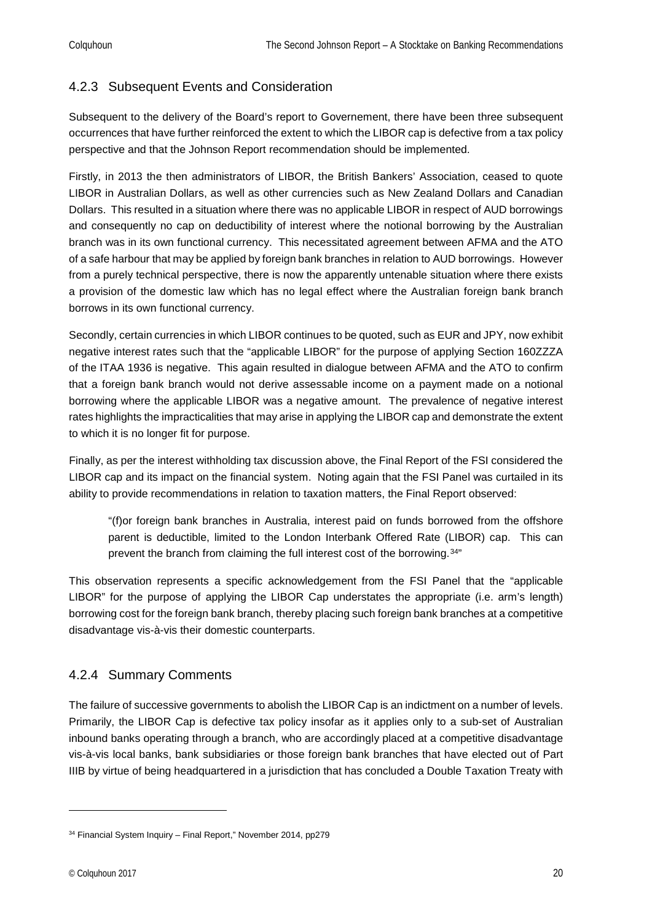#### <span id="page-19-0"></span>4.2.3 Subsequent Events and Consideration

Subsequent to the delivery of the Board's report to Governement, there have been three subsequent occurrences that have further reinforced the extent to which the LIBOR cap is defective from a tax policy perspective and that the Johnson Report recommendation should be implemented.

Firstly, in 2013 the then administrators of LIBOR, the British Bankers' Association, ceased to quote LIBOR in Australian Dollars, as well as other currencies such as New Zealand Dollars and Canadian Dollars. This resulted in a situation where there was no applicable LIBOR in respect of AUD borrowings and consequently no cap on deductibility of interest where the notional borrowing by the Australian branch was in its own functional currency. This necessitated agreement between AFMA and the ATO of a safe harbour that may be applied by foreign bank branches in relation to AUD borrowings. However from a purely technical perspective, there is now the apparently untenable situation where there exists a provision of the domestic law which has no legal effect where the Australian foreign bank branch borrows in its own functional currency.

Secondly, certain currencies in which LIBOR continues to be quoted, such as EUR and JPY, now exhibit negative interest rates such that the "applicable LIBOR" for the purpose of applying Section 160ZZZA of the ITAA 1936 is negative. This again resulted in dialogue between AFMA and the ATO to confirm that a foreign bank branch would not derive assessable income on a payment made on a notional borrowing where the applicable LIBOR was a negative amount. The prevalence of negative interest rates highlights the impracticalities that may arise in applying the LIBOR cap and demonstrate the extent to which it is no longer fit for purpose.

Finally, as per the interest withholding tax discussion above, the Final Report of the FSI considered the LIBOR cap and its impact on the financial system. Noting again that the FSI Panel was curtailed in its ability to provide recommendations in relation to taxation matters, the Final Report observed:

"(f)or foreign bank branches in Australia, interest paid on funds borrowed from the offshore parent is deductible, limited to the London Interbank Offered Rate (LIBOR) cap. This can prevent the branch from claiming the full interest cost of the borrowing.<sup>[34"](#page-19-2)</sup>

This observation represents a specific acknowledgement from the FSI Panel that the "applicable LIBOR" for the purpose of applying the LIBOR Cap understates the appropriate (i.e. arm's length) borrowing cost for the foreign bank branch, thereby placing such foreign bank branches at a competitive disadvantage vis-à-vis their domestic counterparts.

#### <span id="page-19-1"></span>4.2.4 Summary Comments

The failure of successive governments to abolish the LIBOR Cap is an indictment on a number of levels. Primarily, the LIBOR Cap is defective tax policy insofar as it applies only to a sub-set of Australian inbound banks operating through a branch, who are accordingly placed at a competitive disadvantage vis-à-vis local banks, bank subsidiaries or those foreign bank branches that have elected out of Part IIIB by virtue of being headquartered in a jurisdiction that has concluded a Double Taxation Treaty with

<span id="page-19-2"></span><sup>&</sup>lt;sup>34</sup> Financial System Inquiry – Final Report," November 2014, pp279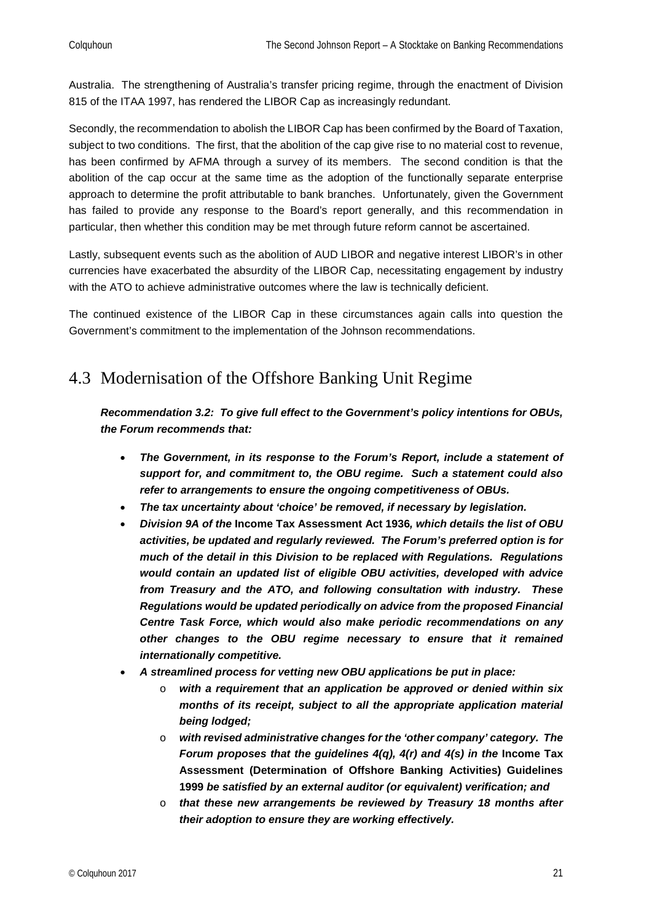Australia. The strengthening of Australia's transfer pricing regime, through the enactment of Division 815 of the ITAA 1997, has rendered the LIBOR Cap as increasingly redundant.

Secondly, the recommendation to abolish the LIBOR Cap has been confirmed by the Board of Taxation, subject to two conditions. The first, that the abolition of the cap give rise to no material cost to revenue, has been confirmed by AFMA through a survey of its members. The second condition is that the abolition of the cap occur at the same time as the adoption of the functionally separate enterprise approach to determine the profit attributable to bank branches. Unfortunately, given the Government has failed to provide any response to the Board's report generally, and this recommendation in particular, then whether this condition may be met through future reform cannot be ascertained.

Lastly, subsequent events such as the abolition of AUD LIBOR and negative interest LIBOR's in other currencies have exacerbated the absurdity of the LIBOR Cap, necessitating engagement by industry with the ATO to achieve administrative outcomes where the law is technically deficient.

The continued existence of the LIBOR Cap in these circumstances again calls into question the Government's commitment to the implementation of the Johnson recommendations.

### <span id="page-20-0"></span>4.3 Modernisation of the Offshore Banking Unit Regime

*Recommendation 3.2: To give full effect to the Government's policy intentions for OBUs, the Forum recommends that:*

- *The Government, in its response to the Forum's Report, include a statement of support for, and commitment to, the OBU regime. Such a statement could also refer to arrangements to ensure the ongoing competitiveness of OBUs.*
- *The tax uncertainty about 'choice' be removed, if necessary by legislation.*
- *Division 9A of the* **Income Tax Assessment Act 1936***, which details the list of OBU activities, be updated and regularly reviewed. The Forum's preferred option is for much of the detail in this Division to be replaced with Regulations. Regulations would contain an updated list of eligible OBU activities, developed with advice from Treasury and the ATO, and following consultation with industry. These Regulations would be updated periodically on advice from the proposed Financial Centre Task Force, which would also make periodic recommendations on any other changes to the OBU regime necessary to ensure that it remained internationally competitive.*
- *A streamlined process for vetting new OBU applications be put in place:*
	- o *with a requirement that an application be approved or denied within six months of its receipt, subject to all the appropriate application material being lodged;*
	- o *with revised administrative changes for the 'other company' category. The Forum proposes that the guidelines 4(q), 4(r) and 4(s) in the Income Tax* **Assessment (Determination of Offshore Banking Activities) Guidelines 1999** *be satisfied by an external auditor (or equivalent) verification; and*
	- o *that these new arrangements be reviewed by Treasury 18 months after their adoption to ensure they are working effectively.*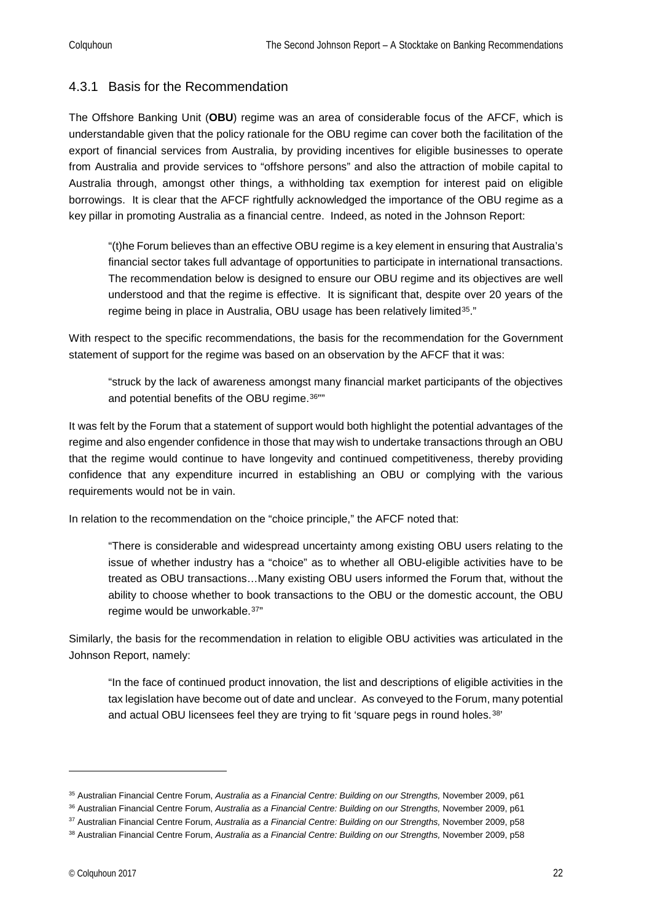#### <span id="page-21-0"></span>4.3.1 Basis for the Recommendation

The Offshore Banking Unit (**OBU**) regime was an area of considerable focus of the AFCF, which is understandable given that the policy rationale for the OBU regime can cover both the facilitation of the export of financial services from Australia, by providing incentives for eligible businesses to operate from Australia and provide services to "offshore persons" and also the attraction of mobile capital to Australia through, amongst other things, a withholding tax exemption for interest paid on eligible borrowings. It is clear that the AFCF rightfully acknowledged the importance of the OBU regime as a key pillar in promoting Australia as a financial centre. Indeed, as noted in the Johnson Report:

"(t)he Forum believes than an effective OBU regime is a key element in ensuring that Australia's financial sector takes full advantage of opportunities to participate in international transactions. The recommendation below is designed to ensure our OBU regime and its objectives are well understood and that the regime is effective. It is significant that, despite over 20 years of the regime being in place in Australia, OBU usage has been relatively limited<sup>[35](#page-21-1)</sup>."

With respect to the specific recommendations, the basis for the recommendation for the Government statement of support for the regime was based on an observation by the AFCF that it was:

"struck by the lack of awareness amongst many financial market participants of the objectives and potential benefits of the OBU regime.<sup>[36](#page-21-2)""</sup>

It was felt by the Forum that a statement of support would both highlight the potential advantages of the regime and also engender confidence in those that may wish to undertake transactions through an OBU that the regime would continue to have longevity and continued competitiveness, thereby providing confidence that any expenditure incurred in establishing an OBU or complying with the various requirements would not be in vain.

In relation to the recommendation on the "choice principle," the AFCF noted that:

"There is considerable and widespread uncertainty among existing OBU users relating to the issue of whether industry has a "choice" as to whether all OBU-eligible activities have to be treated as OBU transactions…Many existing OBU users informed the Forum that, without the ability to choose whether to book transactions to the OBU or the domestic account, the OBU regime would be unworkable.<sup>[37"](#page-21-3)</sup>

Similarly, the basis for the recommendation in relation to eligible OBU activities was articulated in the Johnson Report, namely:

"In the face of continued product innovation, the list and descriptions of eligible activities in the tax legislation have become out of date and unclear. As conveyed to the Forum, many potential and actual OBU licensees feel they are trying to fit 'square pegs in round holes.<sup>[38'](#page-21-4)</sup>

<span id="page-21-1"></span><sup>35</sup> Australian Financial Centre Forum, *Australia as a Financial Centre: Building on our Strengths,* November 2009, p61

<span id="page-21-2"></span><sup>36</sup> Australian Financial Centre Forum, *Australia as a Financial Centre: Building on our Strengths,* November 2009, p61

<span id="page-21-3"></span><sup>37</sup> Australian Financial Centre Forum, *Australia as a Financial Centre: Building on our Strengths,* November 2009, p58

<span id="page-21-4"></span><sup>38</sup> Australian Financial Centre Forum, *Australia as a Financial Centre: Building on our Strengths,* November 2009, p58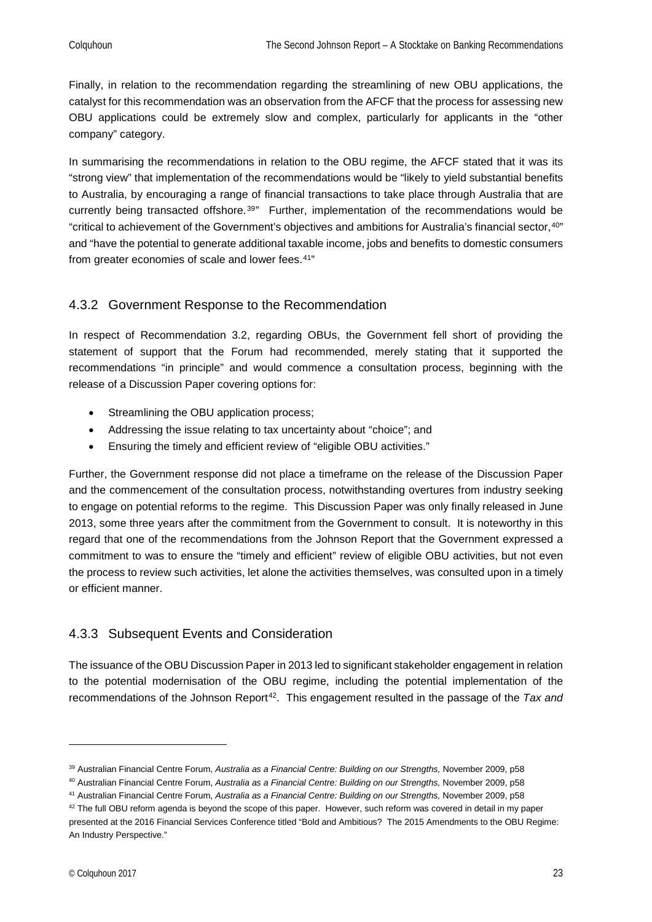Finally, in relation to the recommendation regarding the streamlining of new OBU applications, the catalyst for this recommendation was an observation from the AFCF that the process for assessing new OBU applications could be extremely slow and complex, particularly for applicants in the "other company" category.

In summarising the recommendations in relation to the OBU regime, the AFCF stated that it was its "strong view" that implementation of the recommendations would be "likely to yield substantial benefits to Australia, by encouraging a range of financial transactions to take place through Australia that are currently being transacted offshore.<sup>[39](#page-22-2)"</sup> Further, implementation of the recommendations would be "critical to achievement of the Government's objectives and ambitions for Australia's financial sector,[40](#page-22-3)" and "have the potential to generate additional taxable income, jobs and benefits to domestic consumers from greater economies of scale and lower fees.[41](#page-22-4)"

#### <span id="page-22-0"></span>4.3.2 Government Response to the Recommendation

In respect of Recommendation 3.2, regarding OBUs, the Government fell short of providing the statement of support that the Forum had recommended, merely stating that it supported the recommendations "in principle" and would commence a consultation process, beginning with the release of a Discussion Paper covering options for:

- Streamlining the OBU application process;
- Addressing the issue relating to tax uncertainty about "choice"; and
- Ensuring the timely and efficient review of "eligible OBU activities."

Further, the Government response did not place a timeframe on the release of the Discussion Paper and the commencement of the consultation process, notwithstanding overtures from industry seeking to engage on potential reforms to the regime. This Discussion Paper was only finally released in June 2013, some three years after the commitment from the Government to consult. It is noteworthy in this regard that one of the recommendations from the Johnson Report that the Government expressed a commitment to was to ensure the "timely and efficient" review of eligible OBU activities, but not even the process to review such activities, let alone the activities themselves, was consulted upon in a timely or efficient manner.

#### <span id="page-22-1"></span>4.3.3 Subsequent Events and Consideration

The issuance of the OBU Discussion Paper in 2013 led to significant stakeholder engagement in relation to the potential modernisation of the OBU regime, including the potential implementation of the recommendations of the Johnson Report<sup>42</sup>. This engagement resulted in the passage of the *Tax and* 

<span id="page-22-2"></span><sup>39</sup> Australian Financial Centre Forum, *Australia as a Financial Centre: Building on our Strengths,* November 2009, p58

<span id="page-22-3"></span><sup>40</sup> Australian Financial Centre Forum, *Australia as a Financial Centre: Building on our Strengths,* November 2009, p58

<span id="page-22-4"></span><sup>41</sup> Australian Financial Centre Forum, *Australia as a Financial Centre: Building on our Strengths,* November 2009, p58

<span id="page-22-5"></span> $42$  The full OBU reform agenda is beyond the scope of this paper. However, such reform was covered in detail in my paper presented at the 2016 Financial Services Conference titled "Bold and Ambitious? The 2015 Amendments to the OBU Regime: An Industry Perspective."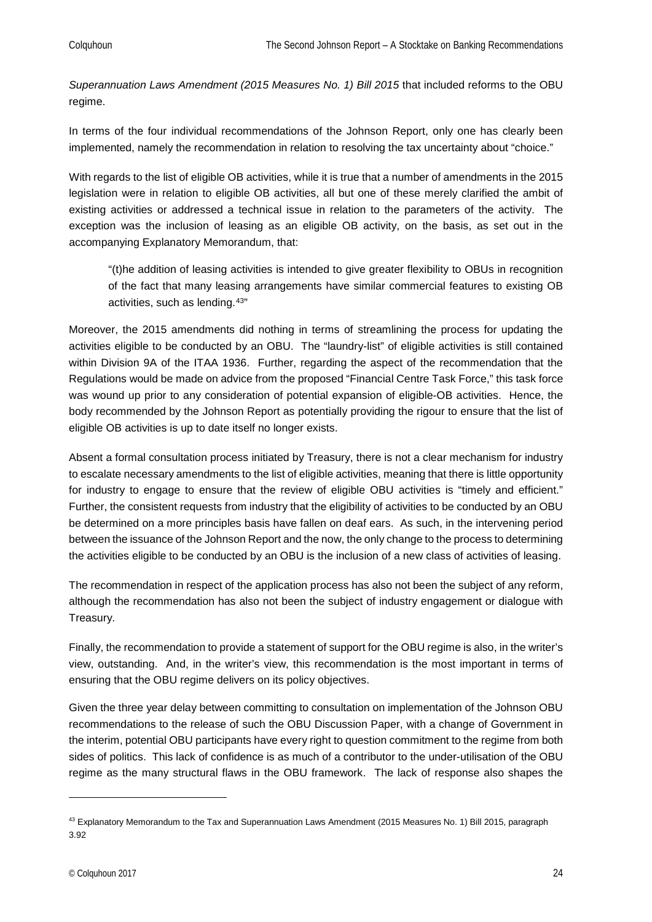*Superannuation Laws Amendment (2015 Measures No. 1) Bill 2015* that included reforms to the OBU regime.

In terms of the four individual recommendations of the Johnson Report, only one has clearly been implemented, namely the recommendation in relation to resolving the tax uncertainty about "choice."

With regards to the list of eligible OB activities, while it is true that a number of amendments in the 2015 legislation were in relation to eligible OB activities, all but one of these merely clarified the ambit of existing activities or addressed a technical issue in relation to the parameters of the activity. The exception was the inclusion of leasing as an eligible OB activity, on the basis, as set out in the accompanying Explanatory Memorandum, that:

"(t)he addition of leasing activities is intended to give greater flexibility to OBUs in recognition of the fact that many leasing arrangements have similar commercial features to existing OB activities, such as lending.[43"](#page-23-0)

Moreover, the 2015 amendments did nothing in terms of streamlining the process for updating the activities eligible to be conducted by an OBU. The "laundry-list" of eligible activities is still contained within Division 9A of the ITAA 1936. Further, regarding the aspect of the recommendation that the Regulations would be made on advice from the proposed "Financial Centre Task Force," this task force was wound up prior to any consideration of potential expansion of eligible-OB activities. Hence, the body recommended by the Johnson Report as potentially providing the rigour to ensure that the list of eligible OB activities is up to date itself no longer exists.

Absent a formal consultation process initiated by Treasury, there is not a clear mechanism for industry to escalate necessary amendments to the list of eligible activities, meaning that there is little opportunity for industry to engage to ensure that the review of eligible OBU activities is "timely and efficient." Further, the consistent requests from industry that the eligibility of activities to be conducted by an OBU be determined on a more principles basis have fallen on deaf ears. As such, in the intervening period between the issuance of the Johnson Report and the now, the only change to the process to determining the activities eligible to be conducted by an OBU is the inclusion of a new class of activities of leasing.

The recommendation in respect of the application process has also not been the subject of any reform, although the recommendation has also not been the subject of industry engagement or dialogue with Treasury.

Finally, the recommendation to provide a statement of support for the OBU regime is also, in the writer's view, outstanding. And, in the writer's view, this recommendation is the most important in terms of ensuring that the OBU regime delivers on its policy objectives.

Given the three year delay between committing to consultation on implementation of the Johnson OBU recommendations to the release of such the OBU Discussion Paper, with a change of Government in the interim, potential OBU participants have every right to question commitment to the regime from both sides of politics. This lack of confidence is as much of a contributor to the under-utilisation of the OBU regime as the many structural flaws in the OBU framework. The lack of response also shapes the

<span id="page-23-0"></span><sup>43</sup> Explanatory Memorandum to the Tax and Superannuation Laws Amendment (2015 Measures No. 1) Bill 2015, paragraph 3.92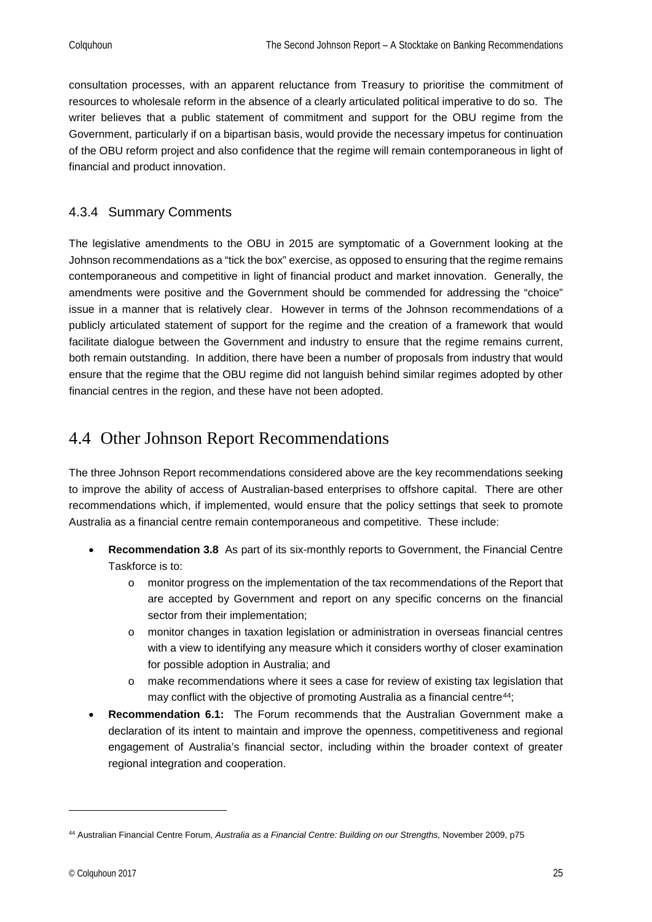consultation processes, with an apparent reluctance from Treasury to prioritise the commitment of resources to wholesale reform in the absence of a clearly articulated political imperative to do so. The writer believes that a public statement of commitment and support for the OBU regime from the Government, particularly if on a bipartisan basis, would provide the necessary impetus for continuation of the OBU reform project and also confidence that the regime will remain contemporaneous in light of financial and product innovation.

#### <span id="page-24-0"></span>4.3.4 Summary Comments

The legislative amendments to the OBU in 2015 are symptomatic of a Government looking at the Johnson recommendations as a "tick the box" exercise, as opposed to ensuring that the regime remains contemporaneous and competitive in light of financial product and market innovation. Generally, the amendments were positive and the Government should be commended for addressing the "choice" issue in a manner that is relatively clear. However in terms of the Johnson recommendations of a publicly articulated statement of support for the regime and the creation of a framework that would facilitate dialogue between the Government and industry to ensure that the regime remains current, both remain outstanding. In addition, there have been a number of proposals from industry that would ensure that the regime that the OBU regime did not languish behind similar regimes adopted by other financial centres in the region, and these have not been adopted.

### <span id="page-24-1"></span>4.4 Other Johnson Report Recommendations

The three Johnson Report recommendations considered above are the key recommendations seeking to improve the ability of access of Australian-based enterprises to offshore capital. There are other recommendations which, if implemented, would ensure that the policy settings that seek to promote Australia as a financial centre remain contemporaneous and competitive. These include:

- **Recommendation 3.8** As part of its six-monthly reports to Government, the Financial Centre Taskforce is to:
	- o monitor progress on the implementation of the tax recommendations of the Report that are accepted by Government and report on any specific concerns on the financial sector from their implementation;
	- o monitor changes in taxation legislation or administration in overseas financial centres with a view to identifying any measure which it considers worthy of closer examination for possible adoption in Australia; and
	- o make recommendations where it sees a case for review of existing tax legislation that may conflict with the objective of promoting Australia as a financial centre<sup>44</sup>;
- **Recommendation 6.1:** The Forum recommends that the Australian Government make a declaration of its intent to maintain and improve the openness, competitiveness and regional engagement of Australia's financial sector, including within the broader context of greater regional integration and cooperation.

<span id="page-24-2"></span><sup>44</sup> Australian Financial Centre Forum, *Australia as a Financial Centre: Building on our Strengths,* November 2009, p75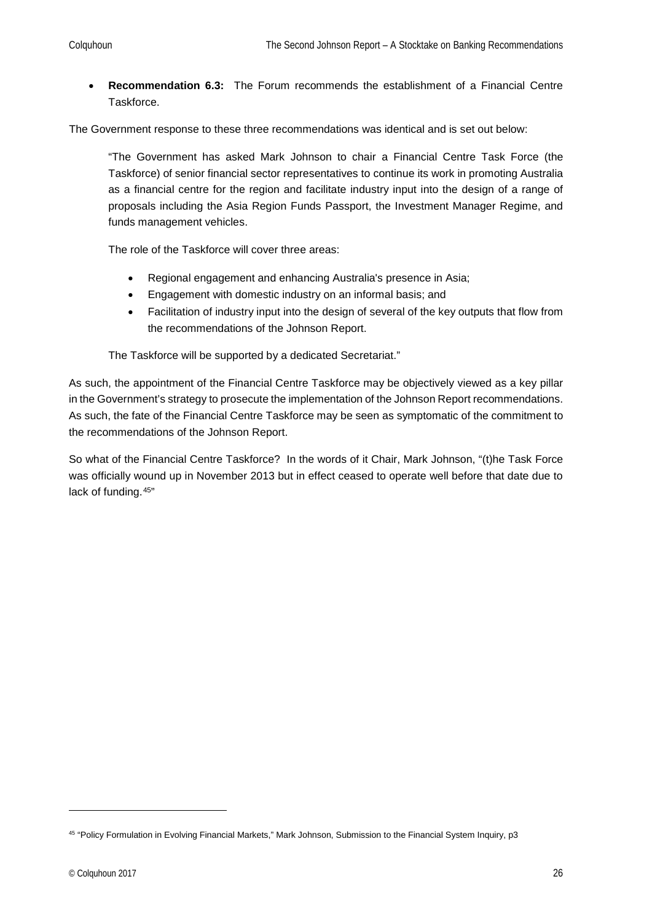• **Recommendation 6.3:** The Forum recommends the establishment of a Financial Centre Taskforce.

The Government response to these three recommendations was identical and is set out below:

"The Government has asked Mark Johnson to chair a Financial Centre Task Force (the Taskforce) of senior financial sector representatives to continue its work in promoting Australia as a financial centre for the region and facilitate industry input into the design of a range of proposals including the Asia Region Funds Passport, the Investment Manager Regime, and funds management vehicles.

The role of the Taskforce will cover three areas:

- Regional engagement and enhancing Australia's presence in Asia;
- Engagement with domestic industry on an informal basis; and
- Facilitation of industry input into the design of several of the key outputs that flow from the recommendations of the Johnson Report.

The Taskforce will be supported by a dedicated Secretariat."

As such, the appointment of the Financial Centre Taskforce may be objectively viewed as a key pillar in the Government's strategy to prosecute the implementation of the Johnson Report recommendations. As such, the fate of the Financial Centre Taskforce may be seen as symptomatic of the commitment to the recommendations of the Johnson Report.

So what of the Financial Centre Taskforce? In the words of it Chair, Mark Johnson, "(t)he Task Force was officially wound up in November 2013 but in effect ceased to operate well before that date due to lack of funding.[45](#page-25-0)"

<span id="page-25-0"></span><sup>45</sup> "Policy Formulation in Evolving Financial Markets," Mark Johnson, Submission to the Financial System Inquiry, p3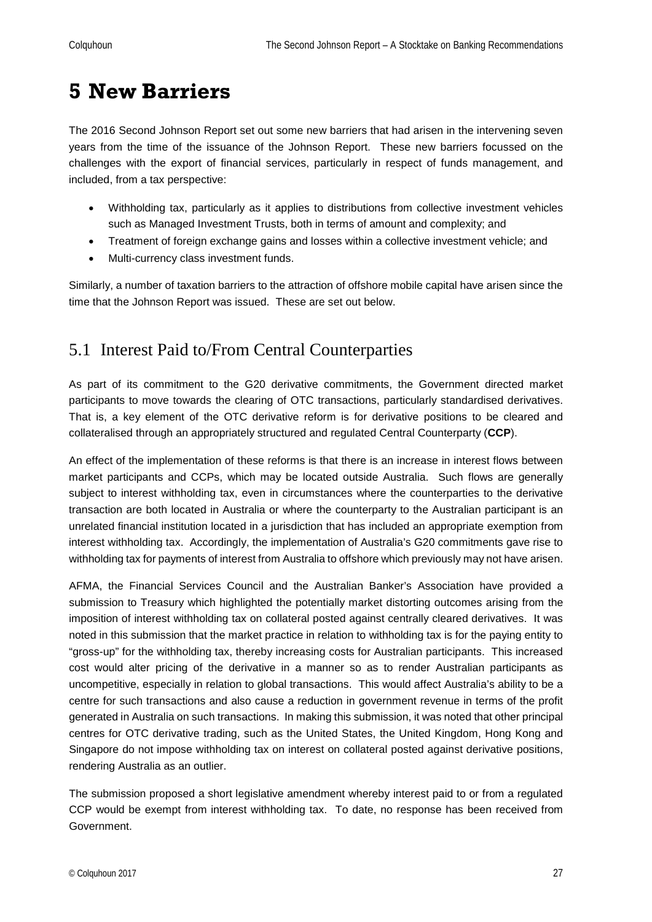## <span id="page-26-0"></span>**5 New Barriers**

The 2016 Second Johnson Report set out some new barriers that had arisen in the intervening seven years from the time of the issuance of the Johnson Report. These new barriers focussed on the challenges with the export of financial services, particularly in respect of funds management, and included, from a tax perspective:

- Withholding tax, particularly as it applies to distributions from collective investment vehicles such as Managed Investment Trusts, both in terms of amount and complexity; and
- Treatment of foreign exchange gains and losses within a collective investment vehicle; and
- Multi-currency class investment funds.

Similarly, a number of taxation barriers to the attraction of offshore mobile capital have arisen since the time that the Johnson Report was issued. These are set out below.

## <span id="page-26-1"></span>5.1 Interest Paid to/From Central Counterparties

As part of its commitment to the G20 derivative commitments, the Government directed market participants to move towards the clearing of OTC transactions, particularly standardised derivatives. That is, a key element of the OTC derivative reform is for derivative positions to be cleared and collateralised through an appropriately structured and regulated Central Counterparty (**CCP**).

An effect of the implementation of these reforms is that there is an increase in interest flows between market participants and CCPs, which may be located outside Australia. Such flows are generally subject to interest withholding tax, even in circumstances where the counterparties to the derivative transaction are both located in Australia or where the counterparty to the Australian participant is an unrelated financial institution located in a jurisdiction that has included an appropriate exemption from interest withholding tax. Accordingly, the implementation of Australia's G20 commitments gave rise to withholding tax for payments of interest from Australia to offshore which previously may not have arisen.

AFMA, the Financial Services Council and the Australian Banker's Association have provided a submission to Treasury which highlighted the potentially market distorting outcomes arising from the imposition of interest withholding tax on collateral posted against centrally cleared derivatives. It was noted in this submission that the market practice in relation to withholding tax is for the paying entity to "gross-up" for the withholding tax, thereby increasing costs for Australian participants. This increased cost would alter pricing of the derivative in a manner so as to render Australian participants as uncompetitive, especially in relation to global transactions. This would affect Australia's ability to be a centre for such transactions and also cause a reduction in government revenue in terms of the profit generated in Australia on such transactions. In making this submission, it was noted that other principal centres for OTC derivative trading, such as the United States, the United Kingdom, Hong Kong and Singapore do not impose withholding tax on interest on collateral posted against derivative positions, rendering Australia as an outlier.

The submission proposed a short legislative amendment whereby interest paid to or from a regulated CCP would be exempt from interest withholding tax. To date, no response has been received from Government.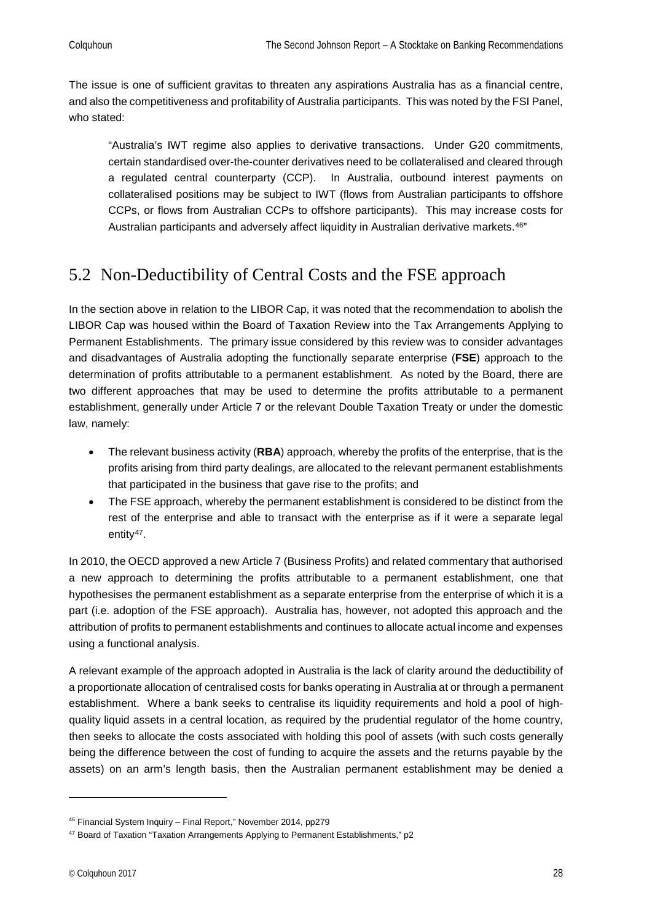The issue is one of sufficient gravitas to threaten any aspirations Australia has as a financial centre, and also the competitiveness and profitability of Australia participants. This was noted by the FSI Panel, who stated:

"Australia's IWT regime also applies to derivative transactions. Under G20 commitments, certain standardised over-the-counter derivatives need to be collateralised and cleared through a regulated central counterparty (CCP). In Australia, outbound interest payments on collateralised positions may be subject to IWT (flows from Australian participants to offshore CCPs, or flows from Australian CCPs to offshore participants). This may increase costs for Australian participants and adversely affect liquidity in Australian derivative markets.<sup>[46"](#page-27-1)</sup>

## <span id="page-27-0"></span>5.2 Non-Deductibility of Central Costs and the FSE approach

In the section above in relation to the LIBOR Cap, it was noted that the recommendation to abolish the LIBOR Cap was housed within the Board of Taxation Review into the Tax Arrangements Applying to Permanent Establishments. The primary issue considered by this review was to consider advantages and disadvantages of Australia adopting the functionally separate enterprise (**FSE**) approach to the determination of profits attributable to a permanent establishment. As noted by the Board, there are two different approaches that may be used to determine the profits attributable to a permanent establishment, generally under Article 7 or the relevant Double Taxation Treaty or under the domestic law, namely:

- The relevant business activity (**RBA**) approach, whereby the profits of the enterprise, that is the profits arising from third party dealings, are allocated to the relevant permanent establishments that participated in the business that gave rise to the profits; and
- The FSE approach, whereby the permanent establishment is considered to be distinct from the rest of the enterprise and able to transact with the enterprise as if it were a separate legal entity<sup>47</sup>.

In 2010, the OECD approved a new Article 7 (Business Profits) and related commentary that authorised a new approach to determining the profits attributable to a permanent establishment, one that hypothesises the permanent establishment as a separate enterprise from the enterprise of which it is a part (i.e. adoption of the FSE approach). Australia has, however, not adopted this approach and the attribution of profits to permanent establishments and continues to allocate actual income and expenses using a functional analysis.

A relevant example of the approach adopted in Australia is the lack of clarity around the deductibility of a proportionate allocation of centralised costs for banks operating in Australia at or through a permanent establishment. Where a bank seeks to centralise its liquidity requirements and hold a pool of highquality liquid assets in a central location, as required by the prudential regulator of the home country, then seeks to allocate the costs associated with holding this pool of assets (with such costs generally being the difference between the cost of funding to acquire the assets and the returns payable by the assets) on an arm's length basis, then the Australian permanent establishment may be denied a

<span id="page-27-1"></span><sup>46</sup> Financial System Inquiry – Final Report," November 2014, pp279

<span id="page-27-2"></span><sup>47</sup> Board of Taxation "Taxation Arrangements Applying to Permanent Establishments," p2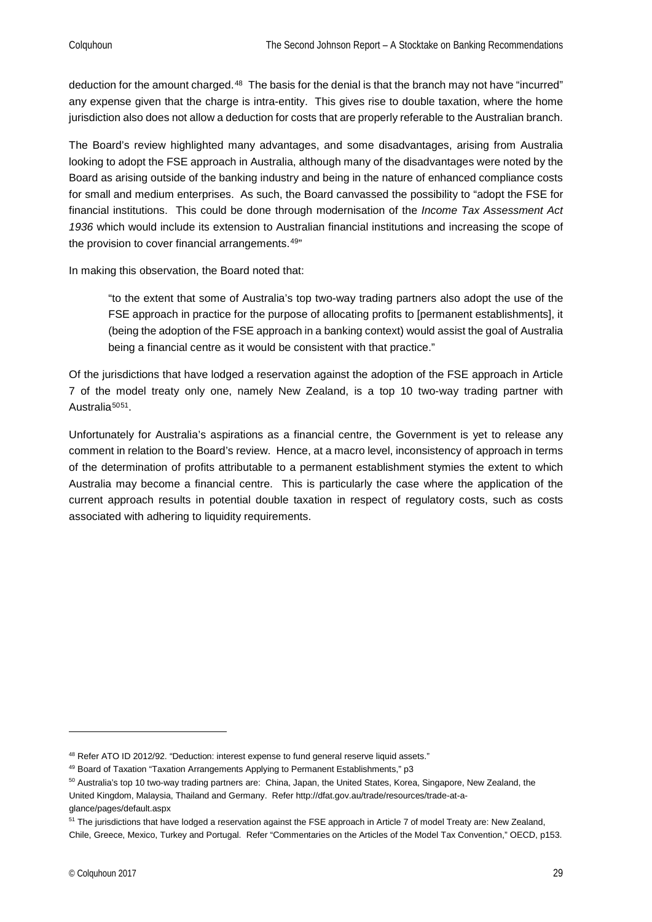deduction for the amount charged.<sup>48</sup> The basis for the denial is that the branch may not have "incurred" any expense given that the charge is intra-entity. This gives rise to double taxation, where the home jurisdiction also does not allow a deduction for costs that are properly referable to the Australian branch.

The Board's review highlighted many advantages, and some disadvantages, arising from Australia looking to adopt the FSE approach in Australia, although many of the disadvantages were noted by the Board as arising outside of the banking industry and being in the nature of enhanced compliance costs for small and medium enterprises. As such, the Board canvassed the possibility to "adopt the FSE for financial institutions. This could be done through modernisation of the *Income Tax Assessment Act 1936* which would include its extension to Australian financial institutions and increasing the scope of the provision to cover financial arrangements.<sup>[49"](#page-28-1)</sup>

In making this observation, the Board noted that:

"to the extent that some of Australia's top two-way trading partners also adopt the use of the FSE approach in practice for the purpose of allocating profits to [permanent establishments], it (being the adoption of the FSE approach in a banking context) would assist the goal of Australia being a financial centre as it would be consistent with that practice."

Of the jurisdictions that have lodged a reservation against the adoption of the FSE approach in Article 7 of the model treaty only one, namely New Zealand, is a top 10 two-way trading partner with Australia<sup>[50](#page-28-2)[51](#page-28-3)</sup>.

Unfortunately for Australia's aspirations as a financial centre, the Government is yet to release any comment in relation to the Board's review. Hence, at a macro level, inconsistency of approach in terms of the determination of profits attributable to a permanent establishment stymies the extent to which Australia may become a financial centre. This is particularly the case where the application of the current approach results in potential double taxation in respect of regulatory costs, such as costs associated with adhering to liquidity requirements.

<span id="page-28-0"></span><sup>48</sup> Refer ATO ID 2012/92. "Deduction: interest expense to fund general reserve liquid assets."

<span id="page-28-1"></span><sup>49</sup> Board of Taxation "Taxation Arrangements Applying to Permanent Establishments," p3

<span id="page-28-2"></span><sup>&</sup>lt;sup>50</sup> Australia's top 10 two-way trading partners are: China, Japan, the United States, Korea, Singapore, New Zealand, the United Kingdom, Malaysia, Thailand and Germany. Refer http://dfat.gov.au/trade/resources/trade-at-aglance/pages/default.aspx

<span id="page-28-3"></span><sup>&</sup>lt;sup>51</sup> The jurisdictions that have lodged a reservation against the FSE approach in Article 7 of model Treaty are: New Zealand, Chile, Greece, Mexico, Turkey and Portugal. Refer "Commentaries on the Articles of the Model Tax Convention," OECD, p153.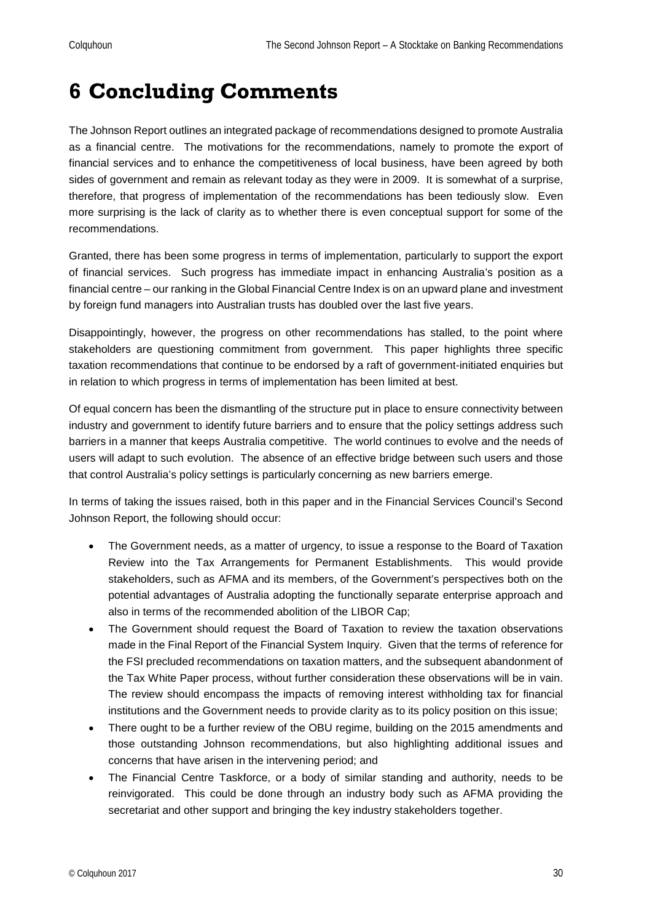## <span id="page-29-0"></span>**6 Concluding Comments**

The Johnson Report outlines an integrated package of recommendations designed to promote Australia as a financial centre. The motivations for the recommendations, namely to promote the export of financial services and to enhance the competitiveness of local business, have been agreed by both sides of government and remain as relevant today as they were in 2009. It is somewhat of a surprise, therefore, that progress of implementation of the recommendations has been tediously slow. Even more surprising is the lack of clarity as to whether there is even conceptual support for some of the recommendations.

Granted, there has been some progress in terms of implementation, particularly to support the export of financial services. Such progress has immediate impact in enhancing Australia's position as a financial centre – our ranking in the Global Financial Centre Index is on an upward plane and investment by foreign fund managers into Australian trusts has doubled over the last five years.

Disappointingly, however, the progress on other recommendations has stalled, to the point where stakeholders are questioning commitment from government. This paper highlights three specific taxation recommendations that continue to be endorsed by a raft of government-initiated enquiries but in relation to which progress in terms of implementation has been limited at best.

Of equal concern has been the dismantling of the structure put in place to ensure connectivity between industry and government to identify future barriers and to ensure that the policy settings address such barriers in a manner that keeps Australia competitive. The world continues to evolve and the needs of users will adapt to such evolution. The absence of an effective bridge between such users and those that control Australia's policy settings is particularly concerning as new barriers emerge.

In terms of taking the issues raised, both in this paper and in the Financial Services Council's Second Johnson Report, the following should occur:

- The Government needs, as a matter of urgency, to issue a response to the Board of Taxation Review into the Tax Arrangements for Permanent Establishments. This would provide stakeholders, such as AFMA and its members, of the Government's perspectives both on the potential advantages of Australia adopting the functionally separate enterprise approach and also in terms of the recommended abolition of the LIBOR Cap;
- The Government should request the Board of Taxation to review the taxation observations made in the Final Report of the Financial System Inquiry. Given that the terms of reference for the FSI precluded recommendations on taxation matters, and the subsequent abandonment of the Tax White Paper process, without further consideration these observations will be in vain. The review should encompass the impacts of removing interest withholding tax for financial institutions and the Government needs to provide clarity as to its policy position on this issue;
- There ought to be a further review of the OBU regime, building on the 2015 amendments and those outstanding Johnson recommendations, but also highlighting additional issues and concerns that have arisen in the intervening period; and
- The Financial Centre Taskforce, or a body of similar standing and authority, needs to be reinvigorated. This could be done through an industry body such as AFMA providing the secretariat and other support and bringing the key industry stakeholders together.